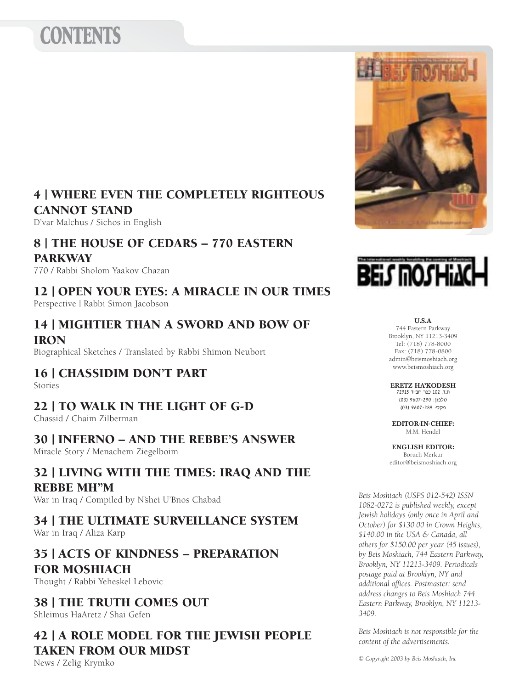# CONTENTS



D'var Malchus / Sichos in English

## 8 | THE HOUSE OF CEDARS – 770 EASTERN **PARKWAY**

770 / Rabbi Sholom Yaakov Chazan

# 12 | OPEN YOUR EYES: A MIRACLE IN OUR TIMES

Perspective | Rabbi Simon Jacobson

## 14 | MIGHTIER THAN A SWORD AND BOW OF **IRON**

Biographical Sketches / Translated by Rabbi Shimon Neubort

## 16 | CHASSIDIM DON'T PART

Stories

# 22 | TO WALK IN THE LIGHT OF G-D

Chassid / Chaim Zilberman

### 30 | INFERNO – AND THE REBBE'S ANSWER Miracle Story / Menachem Ziegelboim

# 32 | LIVING WITH THE TIMES: IRAQ AND THE REBBE MH"M

War in Iraq / Compiled by N'shei U'Bnos Chabad

### 34 | THE ULTIMATE SURVEILLANCE SYSTEM War in Iraq / Aliza Karp

# 35 | ACTS OF KINDNESS – PREPARATION FOR MOSHIACH

Thought / Rabbi Yeheskel Lebovic

## 38 | THE TRUTH COMES OUT

Shleimus HaAretz / Shai Gefen

# 42 | A ROLE MODEL FOR THE JEWISH PEOPLE TAKEN FROM OUR MIDST

News / Zelig Krymko





**U.S.A** 744 Eastern Parkway Brooklyn, NY 11213-3409 Tel: (718) 778-8000 Fax: (718) 778-0800 admin@beismoshiach.org www.beismoshiach.org

**ERETZ HA'KODESH** .<br>ת.ד. 102 כפר חבייד 72915 (03) 9607-290 :  $(03)$  9607-289  $\cdot$ ppa

**EDITOR-IN-CHIEF:** M.M. Hendel

**ENGLISH EDITOR:** Boruch Merkur editor@beismoshiach.org

*Beis Moshiach (USPS 012-542) ISSN 1082-0272 is published weekly, except Jewish holidays (only once in April and October) for \$130.00 in Crown Heights, \$140.00 in the USA & Canada, all others for \$150.00 per year (45 issues), by Beis Moshiach, 744 Eastern Parkway, Brooklyn, NY 11213-3409. Periodicals postage paid at Brooklyn, NY and additional offices. Postmaster: send address changes to Beis Moshiach 744 Eastern Parkway, Brooklyn, NY 11213- 3409.*

*Beis Moshiach is not responsible for the content of the advertisements.*

© *Copyright 2003 by Beis Moshiach, Inc*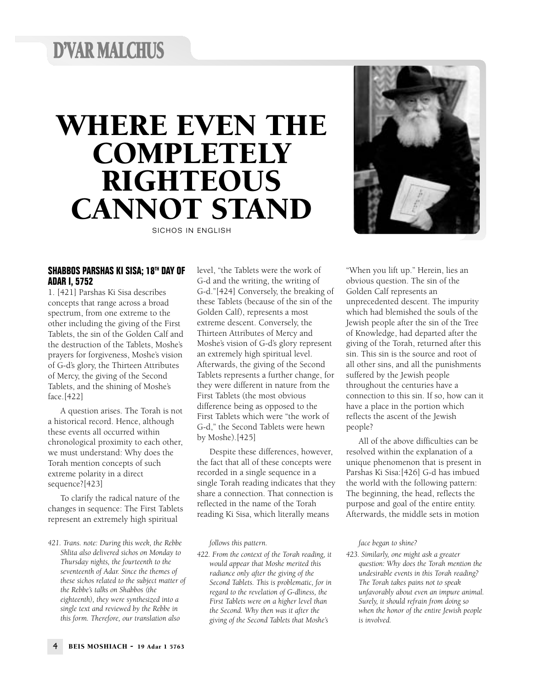# D'VAR MALCHUS

# WHERE EVEN THE **COMPLETELY RIGHTEOUS** CANNOT STAND

SICHOS IN ENGLISH

### **SHABBOS PARSHAS KI SISA; 18TH DAY OF ADAR I, 5752**

1. [421] Parshas Ki Sisa describes concepts that range across a broad spectrum, from one extreme to the other including the giving of the First Tablets, the sin of the Golden Calf and the destruction of the Tablets, Moshe's prayers for forgiveness, Moshe's vision of G-d's glory, the Thirteen Attributes of Mercy, the giving of the Second Tablets, and the shining of Moshe's face.[422]

A question arises. The Torah is not a historical record. Hence, although these events all occurred within chronological proximity to each other, we must understand: Why does the Torah mention concepts of such extreme polarity in a direct sequence?[423]

To clarify the radical nature of the changes in sequence: The First Tablets represent an extremely high spiritual

*421. Trans. note: During this week, the Rebbe Shlita also delivered sichos on Monday to Thursday nights, the fourteenth to the seventeenth of Adar. Since the themes of these sichos related to the subject matter of the Rebbe's talks on Shabbos (the eighteenth), they were synthesized into a single text and reviewed by the Rebbe in this form. Therefore, our translation also*

level, "the Tablets were the work of G-d and the writing, the writing of G-d."[424] Conversely, the breaking of these Tablets (because of the sin of the Golden Calf), represents a most extreme descent. Conversely, the Thirteen Attributes of Mercy and Moshe's vision of G-d's glory represent an extremely high spiritual level. Afterwards, the giving of the Second Tablets represents a further change, for they were different in nature from the First Tablets (the most obvious difference being as opposed to the First Tablets which were "the work of G-d," the Second Tablets were hewn by Moshe).[425]

Despite these differences, however, the fact that all of these concepts were recorded in a single sequence in a single Torah reading indicates that they share a connection. That connection is reflected in the name of the Torah reading Ki Sisa, which literally means

*follows this pattern.* 

*422. From the context of the Torah reading, it would appear that Moshe merited this radiance only after the giving of the Second Tablets. This is problematic, for in regard to the revelation of G-dliness, the First Tablets were on a higher level than the Second. Why then was it after the giving of the Second Tablets that Moshe's*

"When you lift up." Herein, lies an obvious question. The sin of the Golden Calf represents an unprecedented descent. The impurity which had blemished the souls of the Jewish people after the sin of the Tree of Knowledge, had departed after the giving of the Torah, returned after this sin. This sin is the source and root of all other sins, and all the punishments suffered by the Jewish people throughout the centuries have a connection to this sin. If so, how can it have a place in the portion which reflects the ascent of the Jewish people?

All of the above difficulties can be resolved within the explanation of a unique phenomenon that is present in Parshas Ki Sisa:[426] G-d has imbued the world with the following pattern: The beginning, the head, reflects the purpose and goal of the entire entity. Afterwards, the middle sets in motion

*face began to shine?* 

*423. Similarly, one might ask a greater question: Why does the Torah mention the undesirable events in this Torah reading? The Torah takes pains not to speak unfavorably about even an impure animal. Surely, it should refrain from doing so when the honor of the entire Jewish people is involved.* 

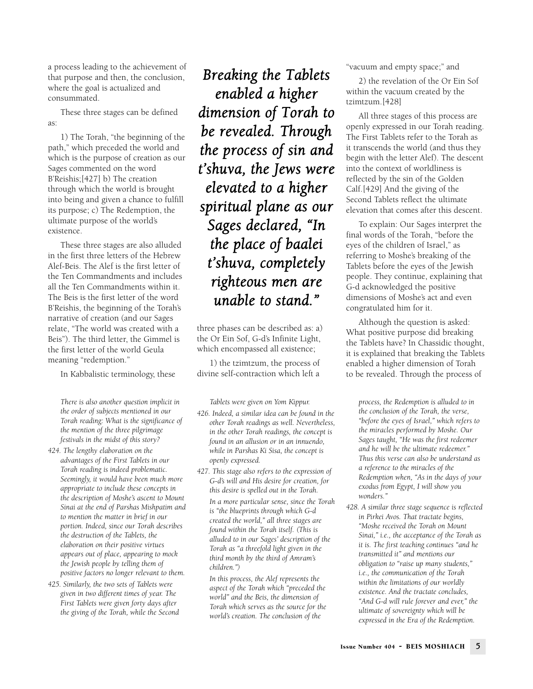a process leading to the achievement of that purpose and then, the conclusion, where the goal is actualized and consummated.

These three stages can be defined as:

1) The Torah, "the beginning of the path," which preceded the world and which is the purpose of creation as our Sages commented on the word B'Reishis;[427] b) The creation through which the world is brought into being and given a chance to fulfill its purpose; c) The Redemption, the ultimate purpose of the world's existence.

These three stages are also alluded in the first three letters of the Hebrew Alef-Beis. The Alef is the first letter of the Ten Commandments and includes all the Ten Commandments within it. The Beis is the first letter of the word B'Reishis, the beginning of the Torah's narrative of creation (and our Sages relate, "The world was created with a Beis"). The third letter, the Gimmel is the first letter of the world Geula meaning "redemption."

In Kabbalistic terminology, these

*There is also another question implicit in the order of subjects mentioned in our Torah reading: What is the significance of the mention of the three pilgrimage festivals in the midst of this story?* 

- *424. The lengthy elaboration on the advantages of the First Tablets in our Torah reading is indeed problematic. Seemingly, it would have been much more appropriate to include these concepts in the description of Moshe's ascent to Mount Sinai at the end of Parshas Mishpatim and to mention the matter in brief in our portion. Indeed, since our Torah describes the destruction of the Tablets, the elaboration on their positive virtues appears out of place, appearing to mock the Jewish people by telling them of positive factors no longer relevant to them.*
- *425. Similarly, the two sets of Tablets were given in two different times of year. The First Tablets were given forty days after the giving of the Torah, while the Second*

*Breaking the Tablets enabled a higher dimension of Torah to be revealed. Through the process of sin and t'shuva, the Jews were elevated to a higher spiritual plane as our Sages declared, "In the place of baalei t'shuva, completely righteous men are unable to stand."*

three phases can be described as: a) the Or Ein Sof, G-d's Infinite Light, which encompassed all existence;

1) the tzimtzum, the process of divine self-contraction which left a

*Tablets were given on Yom Kippur.* 

- *426. Indeed, a similar idea can be found in the other Torah readings as well. Nevertheless, in the other Torah readings, the concept is found in an allusion or in an innuendo, while in Parshas Ki Sisa, the concept is openly expressed.*
- *427. This stage also refers to the expression of G-d's will and His desire for creation, for this desire is spelled out in the Torah.*

*In a more particular sense, since the Torah is "the blueprints through which G-d created the world," all three stages are found within the Torah itself. (This is alluded to in our Sages' description of the Torah as "a threefold light given in the third month by the third of Amram's children.")* 

*In this process, the Alef represents the aspect of the Torah which "preceded the world" and the Beis, the dimension of Torah which serves as the source for the world's creation. The conclusion of the*

"vacuum and empty space;" and

2) the revelation of the Or Ein Sof within the vacuum created by the tzimtzum.[428]

All three stages of this process are openly expressed in our Torah reading. The First Tablets refer to the Torah as it transcends the world (and thus they begin with the letter Alef). The descent into the context of worldliness is reflected by the sin of the Golden Calf.[429] And the giving of the Second Tablets reflect the ultimate elevation that comes after this descent.

To explain: Our Sages interpret the final words of the Torah, "before the eyes of the children of Israel," as referring to Moshe's breaking of the Tablets before the eyes of the Jewish people. They continue, explaining that G-d acknowledged the positive dimensions of Moshe's act and even congratulated him for it.

Although the question is asked: What positive purpose did breaking the Tablets have? In Chassidic thought, it is explained that breaking the Tablets enabled a higher dimension of Torah to be revealed. Through the process of

*process, the Redemption is alluded to in the conclusion of the Torah, the verse, "before the eyes of Israel," which refers to the miracles performed by Moshe. Our Sages taught, "He was the first redeemer and he will be the ultimate redeemer." Thus this verse can also be understand as a reference to the miracles of the Redemption when, "As in the days of your exodus from Egypt, I will show you wonders."*

*428. A similar three stage sequence is reflected in Pirkei Avos. That tractate begins, "Moshe received the Torah on Mount Sinai," i.e., the acceptance of the Torah as it is. The first teaching continues "and he transmitted it" and mentions our obligation to "raise up many students," i.e., the communication of the Torah within the limitations of our worldly existence. And the tractate concludes, "And G-d will rule forever and ever," the ultimate of sovereignty which will be expressed in the Era of the Redemption.*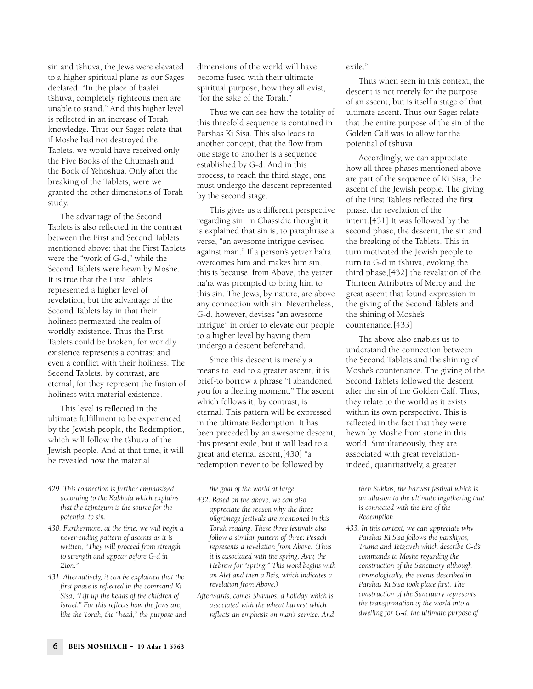sin and t'shuva, the Jews were elevated to a higher spiritual plane as our Sages declared, "In the place of baalei t'shuva, completely righteous men are unable to stand." And this higher level is reflected in an increase of Torah knowledge. Thus our Sages relate that if Moshe had not destroyed the Tablets, we would have received only the Five Books of the Chumash and the Book of Yehoshua. Only after the breaking of the Tablets, were we granted the other dimensions of Torah study.

The advantage of the Second Tablets is also reflected in the contrast between the First and Second Tablets mentioned above: that the First Tablets were the "work of G-d," while the Second Tablets were hewn by Moshe. It is true that the First Tablets represented a higher level of revelation, but the advantage of the Second Tablets lay in that their holiness permeated the realm of worldly existence. Thus the First Tablets could be broken, for worldly existence represents a contrast and even a conflict with their holiness. The Second Tablets, by contrast, are eternal, for they represent the fusion of holiness with material existence.

This level is reflected in the ultimate fulfillment to be experienced by the Jewish people, the Redemption, which will follow the t'shuva of the Jewish people. And at that time, it will be revealed how the material

- *429. This connection is further emphasized according to the Kabbala which explains that the tzimtzum is the source for the potential to sin.*
- *430. Furthermore, at the time, we will begin a never-ending pattern of ascents as it is written, "They will proceed from strength to strength and appear before G-d in Zion."*
- *431. Alternatively, it can be explained that the first phase is reflected in the command Ki Sisa, "Lift up the heads of the children of Israel." For this reflects how the Jews are, like the Torah, the "head," the purpose and*

dimensions of the world will have become fused with their ultimate spiritual purpose, how they all exist, "for the sake of the Torah."

Thus we can see how the totality of this threefold sequence is contained in Parshas Ki Sisa. This also leads to another concept, that the flow from one stage to another is a sequence established by G-d. And in this process, to reach the third stage, one must undergo the descent represented by the second stage.

This gives us a different perspective regarding sin: In Chassidic thought it is explained that sin is, to paraphrase a verse, "an awesome intrigue devised against man." If a person's yetzer ha'ra overcomes him and makes him sin, this is because, from Above, the yetzer ha'ra was prompted to bring him to this sin. The Jews, by nature, are above any connection with sin. Nevertheless, G-d, however, devises "an awesome intrigue" in order to elevate our people to a higher level by having them undergo a descent beforehand.

Since this descent is merely a means to lead to a greater ascent, it is brief-to borrow a phrase "I abandoned you for a fleeting moment." The ascent which follows it, by contrast, is eternal. This pattern will be expressed in the ultimate Redemption. It has been preceded by an awesome descent, this present exile, but it will lead to a great and eternal ascent,[430] "a redemption never to be followed by

*the goal of the world at large.* 

- *432. Based on the above, we can also appreciate the reason why the three pilgrimage festivals are mentioned in this Torah reading. These three festivals also follow a similar pattern of three: Pesach represents a revelation from Above. (Thus it is associated with the spring, Aviv, the Hebrew for "spring." This word begins with an Alef and then a Beis, which indicates a revelation from Above.)*
- *Afterwards, comes Shavuos, a holiday which is associated with the wheat harvest which reflects an emphasis on man's service. And*

exile."

Thus when seen in this context, the descent is not merely for the purpose of an ascent, but is itself a stage of that ultimate ascent. Thus our Sages relate that the entire purpose of the sin of the Golden Calf was to allow for the potential of t'shuva.

Accordingly, we can appreciate how all three phases mentioned above are part of the sequence of Ki Sisa, the ascent of the Jewish people. The giving of the First Tablets reflected the first phase, the revelation of the intent.[431] It was followed by the second phase, the descent, the sin and the breaking of the Tablets. This in turn motivated the Jewish people to turn to G-d in t'shuva, evoking the third phase,[432] the revelation of the Thirteen Attributes of Mercy and the great ascent that found expression in the giving of the Second Tablets and the shining of Moshe's countenance.[433]

The above also enables us to understand the connection between the Second Tablets and the shining of Moshe's countenance. The giving of the Second Tablets followed the descent after the sin of the Golden Calf. Thus, they relate to the world as it exists within its own perspective. This is reflected in the fact that they were hewn by Moshe from stone in this world. Simultaneously, they are associated with great revelationindeed, quantitatively, a greater

*then Sukkos, the harvest festival which is an allusion to the ultimate ingathering that is connected with the Era of the Redemption.*

*433. In this context, we can appreciate why Parshas Ki Sisa follows the parshiyos, Truma and Tetzaveh which describe G-d's commands to Moshe regarding the construction of the Sanctuary although chronologically, the events described in Parshas Ki Sisa took place first. The construction of the Sanctuary represents the transformation of the world into a dwelling for G-d, the ultimate purpose of*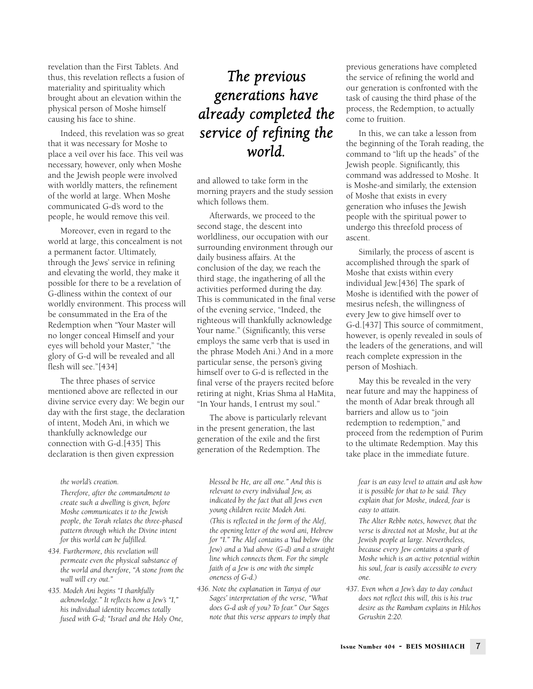revelation than the First Tablets. And thus, this revelation reflects a fusion of materiality and spirituality which brought about an elevation within the physical person of Moshe himself causing his face to shine.

Indeed, this revelation was so great that it was necessary for Moshe to place a veil over his face. This veil was necessary, however, only when Moshe and the Jewish people were involved with worldly matters, the refinement of the world at large. When Moshe communicated G-d's word to the people, he would remove this veil.

Moreover, even in regard to the world at large, this concealment is not a permanent factor. Ultimately, through the Jews' service in refining and elevating the world, they make it possible for there to be a revelation of G-dliness within the context of our worldly environment. This process will be consummated in the Era of the Redemption when "Your Master will no longer conceal Himself and your eyes will behold your Master," "the glory of G-d will be revealed and all flesh will see."[434]

The three phases of service mentioned above are reflected in our divine service every day: We begin our day with the first stage, the declaration of intent, Modeh Ani, in which we thankfully acknowledge our connection with G-d.[435] This declaration is then given expression

*the world's creation.* 

*Therefore, after the commandment to create such a dwelling is given, before Moshe communicates it to the Jewish people, the Torah relates the three-phased pattern through which the Divine intent for this world can be fulfilled.* 

- *434. Furthermore, this revelation will permeate even the physical substance of the world and therefore, "A stone from the wall will cry out."*
- *435. Modeh Ani begins "I thankfully acknowledge." It reflects how a Jew's "I," his individual identity becomes totally fused with G-d; "Israel and the Holy One,*

# *The previous generations have already completed the service of refining the world.*

and allowed to take form in the morning prayers and the study session which follows them.

Afterwards, we proceed to the second stage, the descent into worldliness, our occupation with our surrounding environment through our daily business affairs. At the conclusion of the day, we reach the third stage, the ingathering of all the activities performed during the day. This is communicated in the final verse of the evening service, "Indeed, the righteous will thankfully acknowledge Your name." (Significantly, this verse employs the same verb that is used in the phrase Modeh Ani.) And in a more particular sense, the person's giving himself over to G-d is reflected in the final verse of the prayers recited before retiring at night, Krias Shma al HaMita, "In Your hands, I entrust my soul."

The above is particularly relevant in the present generation, the last generation of the exile and the first generation of the Redemption. The

*blessed be He, are all one." And this is relevant to every individual Jew, as indicated by the fact that all Jews even young children recite Modeh Ani.* 

*(This is reflected in the form of the Alef, the opening letter of the word ani, Hebrew for "I." The Alef contains a Yud below (the Jew) and a Yud above (G-d) and a straight line which connects them. For the simple faith of a Jew is one with the simple oneness of G-d.)* 

*436. Note the explanation in Tanya of our Sages' interpretation of the verse, "What does G-d ask of you? To fear." Our Sages note that this verse appears to imply that* previous generations have completed the service of refining the world and our generation is confronted with the task of causing the third phase of the process, the Redemption, to actually come to fruition.

In this, we can take a lesson from the beginning of the Torah reading, the command to "lift up the heads" of the Jewish people. Significantly, this command was addressed to Moshe. It is Moshe-and similarly, the extension of Moshe that exists in every generation who infuses the Jewish people with the spiritual power to undergo this threefold process of ascent.

Similarly, the process of ascent is accomplished through the spark of Moshe that exists within every individual Jew.[436] The spark of Moshe is identified with the power of mesirus nefesh, the willingness of every Jew to give himself over to G-d.[437] This source of commitment, however, is openly revealed in souls of the leaders of the generations, and will reach complete expression in the person of Moshiach.

May this be revealed in the very near future and may the happiness of the month of Adar break through all barriers and allow us to "join redemption to redemption," and proceed from the redemption of Purim to the ultimate Redemption. May this take place in the immediate future.

*fear is an easy level to attain and ask how it is possible for that to be said. They explain that for Moshe, indeed, fear is easy to attain.* 

*The Alter Rebbe notes, however, that the verse is directed not at Moshe, but at the Jewish people at large. Nevertheless, because every Jew contains a spark of Moshe which is an active potential within his soul, fear is easily accessible to every one.*

*437. Even when a Jew's day to day conduct does not reflect this will, this is his true desire as the Rambam explains in Hilchos Gerushin 2:20.*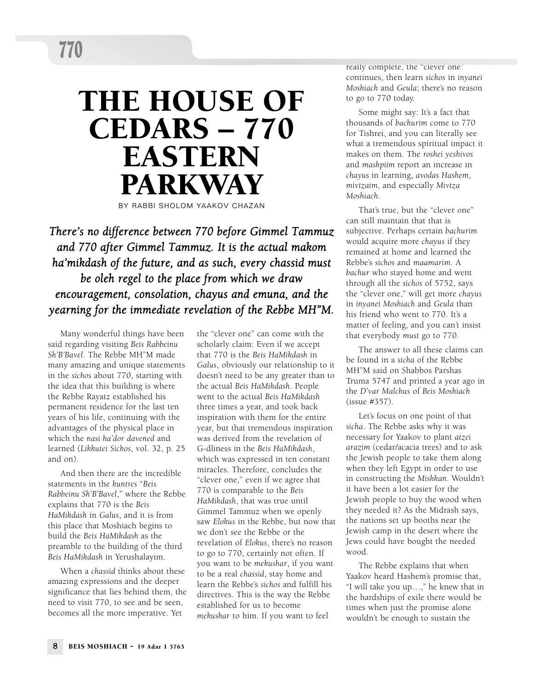# THE HOUSE OF CEDARS – 770 EASTERN PARKWAY BY RABBI SHOLOM YAAKOV CHAZAN

*There's no difference between 770 before Gimmel Tammuz and 770 after Gimmel Tammuz. It is the actual makom ha'mikdash of the future, and as such, every chassid must be oleh regel to the place from which we draw encouragement, consolation, chayus and emuna, and the yearning for the immediate revelation of the Rebbe MH"M.*

Many wonderful things have been said regarding visiting *Beis Rabbeinu Sh'B'Bavel*. The Rebbe MH"M made many amazing and unique statements in the *sichos* about 770, starting with the idea that this building is where the Rebbe Rayatz established his permanent residence for the last ten years of his life, continuing with the advantages of the physical place in which the *nasi ha'dor davened* and learned (*Likkutei Sichos*, vol. 32, p. 25 and on).

And then there are the incredible statements in the *kuntres* "*Beis Rabbeinu Sh'B'Bavel*," where the Rebbe explains that 770 is the *Beis HaMikdash* in *Galus*, and it is from this place that Moshiach begins to build the *Beis HaMikdash* as the preamble to the building of the third *Beis HaMikdash* in Yerushalayim.

When a *chassid* thinks about these amazing expressions and the deeper significance that lies behind them, the need to visit 770, to see and be seen, becomes all the more imperative. Yet

the "clever one" can come with the scholarly claim: Even if we accept that 770 is the *Beis HaMikdash* in *Galus*, obviously our relationship to it doesn't need to be any greater than to the actual *Beis HaMikdash*. People went to the actual *Beis HaMikdash* three times a year, and took back inspiration with them for the entire year, but that tremendous inspiration was derived from the revelation of G-dliness in the *Beis HaMikdash*, which was expressed in ten constant miracles. Therefore, concludes the "clever one," even if we agree that 770 is comparable to the *Beis HaMikdash*, that was true until Gimmel Tammuz when we openly saw *Elokus* in the Rebbe, but now that we don't see the Rebbe or the revelation of *Elokus*, there's no reason to go to 770, certainly not often. If you want to be *mekushar*, if you want to be a real *chassid*, stay home and learn the Rebbe's *sichos* and fulfill his directives. This is the way the Rebbe established for us to become *mekushar* to him. If you want to feel

really complete, the "clever one" continues, then learn *sichos* in *inyanei Moshiach* and *Geula*; there's no reason to go to 770 today.

Some might say: It's a fact that thousands of *bachurim* come to 770 for Tishrei, and you can literally see what a tremendous spiritual impact it makes on them. The *roshei yeshivos* and *mashpiim* report an increase in *chayus* in learning, *avodas Hashem*, *mivtzaim*, and especially *Mivtza Moshiach*.

That's true, but the "clever one" can still maintain that that is subjective. Perhaps certain *bachurim* would acquire more *chayus* if they remained at home and learned the Rebbe's *sichos* and *maamarim*. A *bachur* who stayed home and went through all the *sichos* of 5752, says the "clever one," will get more *chayus* in *inyanei Moshiach* and *Geula* than his friend who went to 770. It's a matter of feeling, and you can't insist that everybody *must* go to 770.

The answer to all these claims can be found in a *sicha* of the Rebbe MH"M said on Shabbos Parshas Truma 5747 and printed a year ago in the *D'var Malchus* of *Beis Moshiach* (issue #357).

Let's focus on one point of that *sicha*. The Rebbe asks why it was necessary for Yaakov to plant *atzei arazim* (cedar/acacia trees) and to ask the Jewish people to take them along when they left Egypt in order to use in constructing the *Mishkan*. Wouldn't it have been a lot easier for the Jewish people to buy the wood when they needed it? As the Midrash says, the nations set up booths near the Jewish camp in the desert where the Jews could have bought the needed wood.

The Rebbe explains that when Yaakov heard Hashem's promise that, "I will take you up…," he knew that in the hardships of exile there would be times when just the promise alone wouldn't be enough to sustain the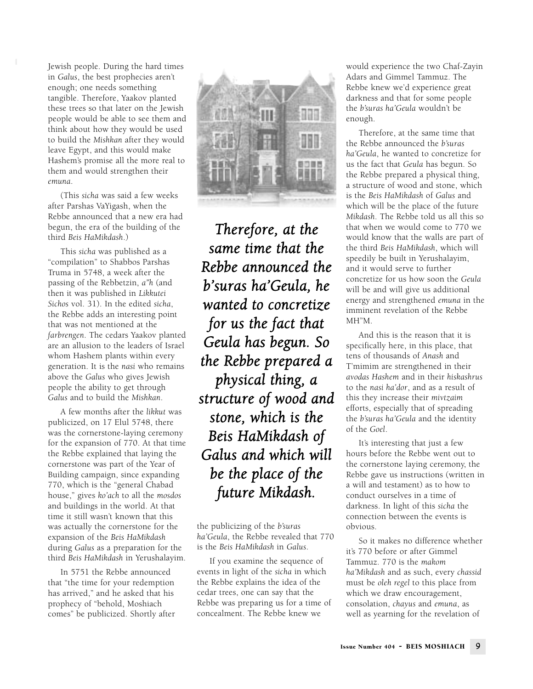Jewish people. During the hard times in *Galus*, the best prophecies aren't enough; one needs something tangible. Therefore, Yaakov planted these trees so that later on the Jewish people would be able to see them and think about how they would be used to build the *Mishkan* after they would leave Egypt, and this would make Hashem's promise all the more real to them and would strengthen their *emuna*.

(This *sicha* was said a few weeks after Parshas VaYigash, when the Rebbe announced that a new era had begun, the era of the building of the third *Beis HaMikdash*.)

This *sicha* was published as a "compilation" to Shabbos Parshas Truma in 5748, a week after the passing of the Rebbetzin, *a"h* (and then it was published in *Likkutei Sichos* vol. 31). In the edited *sicha*, the Rebbe adds an interesting point that was not mentioned at the *farbrengen*. The cedars Yaakov planted are an allusion to the leaders of Israel whom Hashem plants within every generation. It is the *nasi* who remains above the *Galus* who gives Jewish people the ability to get through *Galus* and to build the *Mishkan*.

A few months after the *likkut* was publicized, on 17 Elul 5748, there was the cornerstone-laying ceremony for the expansion of 770. At that time the Rebbe explained that laying the cornerstone was part of the Year of Building campaign, since expanding 770, which is the "general Chabad house," gives *ko'ach* to all the *mosdos* and buildings in the world. At that time it still wasn't known that this was actually the cornerstone for the expansion of the *Beis HaMikdash* during *Galus* as a preparation for the third *Beis HaMikdash* in Yerushalayim.

In 5751 the Rebbe announced that "the time for your redemption has arrived," and he asked that his prophecy of "behold, Moshiach comes" be publicized. Shortly after



*Therefore, at the same time that the Rebbe announced the b'suras ha'Geula, he wanted to concretize for us the fact that Geula has begun. So the Rebbe prepared a physical thing, a structure of wood and stone, which is the Beis HaMikdash of Galus and which will be the place of the future Mikdash.*

the publicizing of the *b'suras ha'Geula*, the Rebbe revealed that 770 is the *Beis HaMikdash* in *Galus*.

If you examine the sequence of events in light of the *sicha* in which the Rebbe explains the idea of the cedar trees, one can say that the Rebbe was preparing us for a time of concealment. The Rebbe knew we

would experience the two Chaf-Zayin Adars and Gimmel Tammuz. The Rebbe knew we'd experience great darkness and that for some people the *b'suras ha'Geula* wouldn't be enough.

Therefore, at the same time that the Rebbe announced the *b'suras ha'Geula*, he wanted to concretize for us the fact that *Geula* has begun. So the Rebbe prepared a physical thing, a structure of wood and stone, which is the *Beis HaMikdash* of *Galus* and which will be the place of the future *Mikdash*. The Rebbe told us all this so that when we would come to 770 we would know that the walls are part of the third *Beis HaMikdash*, which will speedily be built in Yerushalayim, and it would serve to further concretize for us how soon the *Geula* will be and will give us additional energy and strengthened *emuna* in the imminent revelation of the Rebbe MH"M.

And this is the reason that it is specifically here, in this place, that tens of thousands of *Anash* and T'mimim are strengthened in their *avodas Hashem* and in their *hiskashrus* to the *nasi ha'dor*, and as a result of this they increase their *mivtzaim* efforts, especially that of spreading the *b'suras ha'Geula* and the identity of the *Goel*.

It's interesting that just a few hours before the Rebbe went out to the cornerstone laying ceremony, the Rebbe gave us instructions (written in a will and testament) as to how to conduct ourselves in a time of darkness. In light of this *sicha* the connection between the events is obvious.

So it makes no difference whether it's 770 before or after Gimmel Tammuz. 770 is the *makom ha'Mikdash* and as such, every *chassid* must be *oleh regel* to this place from which we draw encouragement, consolation, *chayus* and *emuna*, as well as yearning for the revelation of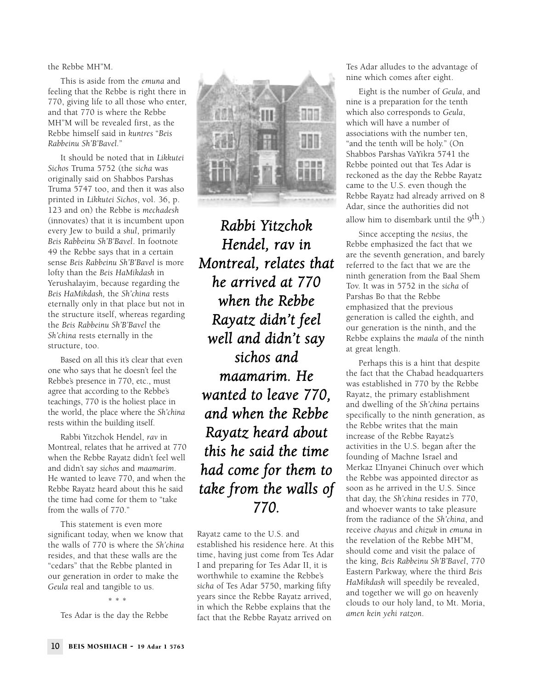the Rebbe MH"M.

This is aside from the *emuna* and feeling that the Rebbe is right there in 770, giving life to all those who enter, and that 770 is where the Rebbe MH"M will be revealed first, as the Rebbe himself said in *kuntres* "*Beis Rabbeinu Sh'B'Bavel.*"

It should be noted that in *Likkutei Sichos* Truma 5752 (the *sicha* was originally said on Shabbos Parshas Truma 5747 too, and then it was also printed in *Likkutei Sichos*, vol. 36, p. 123 and on) the Rebbe is *mechadesh* (innovates) that it is incumbent upon every Jew to build a *shul*, primarily *Beis Rabbeinu Sh'B'Bavel*. In footnote 49 the Rebbe says that in a certain sense *Beis Rabbeinu Sh'B'Bavel* is more lofty than the *Beis HaMikdash* in Yerushalayim, because regarding the *Beis HaMikdash,* the *Sh'china* rests eternally only in that place but not in the structure itself, whereas regarding the *Beis Rabbeinu Sh'B'Bavel* the *Sh'china* rests eternally in the structure, too.

Based on all this it's clear that even one who says that he doesn't feel the Rebbe's presence in 770, etc., must agree that according to the Rebbe's teachings, 770 is the holiest place in the world, the place where the *Sh'china* rests within the building itself.

Rabbi Yitzchok Hendel, *rav* in Montreal, relates that he arrived at 770 when the Rebbe Rayatz didn't feel well and didn't say *sichos* and *maamarim*. He wanted to leave 770, and when the Rebbe Rayatz heard about this he said the time had come for them to "take from the walls of 770."

This statement is even more significant today, when we know that the walls of 770 is where the *Sh'china* resides, and that these walls are the "cedars" that the Rebbe planted in our generation in order to make the *Geula* real and tangible to us.

\* \* \*

Tes Adar is the day the Rebbe



*Rabbi Yitzchok Hendel, rav in Montreal, relates that he arrived at 770 when the Rebbe Rayatz didn't feel well and didn't say sichos and maamarim. He wanted to leave 770, and when the Rebbe Rayatz heard about this he said the time had come for them to take from the walls of 770.*

Rayatz came to the U.S. and established his residence here. At this time, having just come from Tes Adar I and preparing for Tes Adar II, it is worthwhile to examine the Rebbe's *sicha* of Tes Adar 5750, marking fifty years since the Rebbe Rayatz arrived, in which the Rebbe explains that the fact that the Rebbe Rayatz arrived on

Tes Adar alludes to the advantage of nine which comes after eight.

Eight is the number of *Geula*, and nine is a preparation for the tenth which also corresponds to *Geula*, which will have a number of associations with the number ten, "and the tenth will be holy." (On Shabbos Parshas VaYikra 5741 the Rebbe pointed out that Tes Adar is reckoned as the day the Rebbe Rayatz came to the U.S. even though the Rebbe Rayatz had already arrived on 8 Adar, since the authorities did not allow him to disembark until the  $9<sup>th</sup>$ .)

Since accepting the *nesius*, the Rebbe emphasized the fact that we are the seventh generation, and barely referred to the fact that we are the ninth generation from the Baal Shem Tov. It was in 5752 in the *sicha* of Parshas Bo that the Rebbe emphasized that the previous generation is called the eighth, and our generation is the ninth, and the Rebbe explains the *maala* of the ninth at great length.

Perhaps this is a hint that despite the fact that the Chabad headquarters was established in 770 by the Rebbe Rayatz, the primary establishment and dwelling of the *Sh'china* pertains specifically to the ninth generation, as the Rebbe writes that the main increase of the Rebbe Rayatz's activities in the U.S. began after the founding of Machne Israel and Merkaz L'Inyanei Chinuch over which the Rebbe was appointed director as soon as he arrived in the U.S. Since that day, the *Sh'china* resides in 770, and whoever wants to take pleasure from the radiance of the *Sh'china*, and receive *chayus* and *chizuk* in *emuna* in the revelation of the Rebbe MH"M, should come and visit the palace of the king, *Beis Rabbeinu Sh'B'Bavel*, 770 Eastern Parkway, where the third *Beis HaMikdash* will speedily be revealed, and together we will go on heavenly clouds to our holy land, to Mt. Moria, *amen kein yehi ratzon*.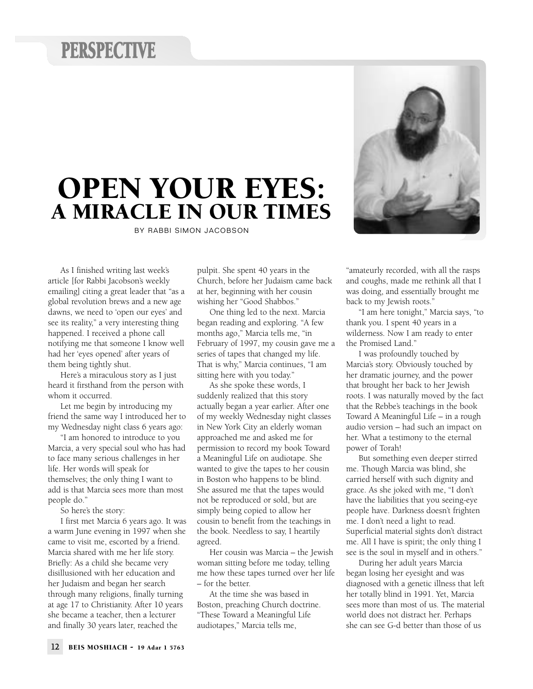# **PERSPECTIVE**

# OPEN YOUR EYES: A MIRACLE IN OUR TIMES

BY RABBI SIMON JACOBSON

As I finished writing last week's article [for Rabbi Jacobson's weekly emailing] citing a great leader that "as a global revolution brews and a new age dawns, we need to 'open our eyes' and see its reality," a very interesting thing happened. I received a phone call notifying me that someone I know well had her 'eyes opened' after years of them being tightly shut.

Here's a miraculous story as I just heard it firsthand from the person with whom it occurred.

Let me begin by introducing my friend the same way I introduced her to my Wednesday night class 6 years ago:

"I am honored to introduce to you Marcia, a very special soul who has had to face many serious challenges in her life. Her words will speak for themselves; the only thing I want to add is that Marcia sees more than most people do."

So here's the story:

I first met Marcia 6 years ago. It was a warm June evening in 1997 when she came to visit me, escorted by a friend. Marcia shared with me her life story. Briefly: As a child she became very disillusioned with her education and her Judaism and began her search through many religions, finally turning at age 17 to Christianity. After 10 years she became a teacher, then a lecturer and finally 30 years later, reached the

pulpit. She spent 40 years in the Church, before her Judaism came back at her, beginning with her cousin wishing her "Good Shabbos."

One thing led to the next. Marcia began reading and exploring. "A few months ago," Marcia tells me, "in February of 1997, my cousin gave me a series of tapes that changed my life. That is why," Marcia continues, "I am sitting here with you today."

As she spoke these words, I suddenly realized that this story actually began a year earlier. After one of my weekly Wednesday night classes in New York City an elderly woman approached me and asked me for permission to record my book Toward a Meaningful Life on audiotape. She wanted to give the tapes to her cousin in Boston who happens to be blind. She assured me that the tapes would not be reproduced or sold, but are simply being copied to allow her cousin to benefit from the teachings in the book. Needless to say, I heartily agreed.

Her cousin was Marcia – the Jewish woman sitting before me today, telling me how these tapes turned over her life – for the better.

At the time she was based in Boston, preaching Church doctrine. "These Toward a Meaningful Life audiotapes," Marcia tells me,



"amateurly recorded, with all the rasps and coughs, made me rethink all that I was doing, and essentially brought me back to my Jewish roots."

"I am here tonight," Marcia says, "to thank you. I spent 40 years in a wilderness. Now I am ready to enter the Promised Land."

I was profoundly touched by Marcia's story. Obviously touched by her dramatic journey, and the power that brought her back to her Jewish roots. I was naturally moved by the fact that the Rebbe's teachings in the book Toward A Meaningful Life – in a rough audio version – had such an impact on her. What a testimony to the eternal power of Torah!

But something even deeper stirred me. Though Marcia was blind, she carried herself with such dignity and grace. As she joked with me, "I don't have the liabilities that you seeing-eye people have. Darkness doesn't frighten me. I don't need a light to read. Superficial material sights don't distract me. All I have is spirit; the only thing I see is the soul in myself and in others."

During her adult years Marcia began losing her eyesight and was diagnosed with a genetic illness that left her totally blind in 1991. Yet, Marcia sees more than most of us. The material world does not distract her. Perhaps she can see G-d better than those of us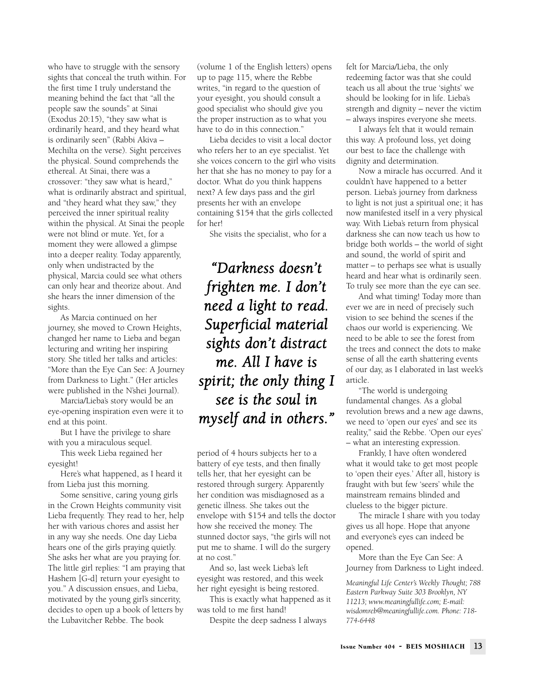who have to struggle with the sensory sights that conceal the truth within. For the first time I truly understand the meaning behind the fact that "all the people saw the sounds" at Sinai (Exodus 20:15), "they saw what is ordinarily heard, and they heard what is ordinarily seen" (Rabbi Akiva – Mechilta on the verse). Sight perceives the physical. Sound comprehends the ethereal. At Sinai, there was a crossover: "they saw what is heard," what is ordinarily abstract and spiritual, and "they heard what they saw," they perceived the inner spiritual reality within the physical. At Sinai the people were not blind or mute. Yet, for a moment they were allowed a glimpse into a deeper reality. Today apparently, only when undistracted by the physical, Marcia could see what others can only hear and theorize about. And she hears the inner dimension of the sights.

As Marcia continued on her journey, she moved to Crown Heights, changed her name to Lieba and began lecturing and writing her inspiring story. She titled her talks and articles: "More than the Eye Can See: A Journey from Darkness to Light." (Her articles were published in the N'shei Journal).

Marcia/Lieba's story would be an eye-opening inspiration even were it to end at this point.

But I have the privilege to share with you a miraculous sequel.

This week Lieba regained her eyesight!

Here's what happened, as I heard it from Lieba just this morning.

Some sensitive, caring young girls in the Crown Heights community visit Lieba frequently. They read to her, help her with various chores and assist her in any way she needs. One day Lieba hears one of the girls praying quietly. She asks her what are you praying for. The little girl replies: "I am praying that Hashem [G-d] return your eyesight to you." A discussion ensues, and Lieba, motivated by the young girl's sincerity, decides to open up a book of letters by the Lubavitcher Rebbe. The book

(volume 1 of the English letters) opens up to page 115, where the Rebbe writes, "in regard to the question of your eyesight, you should consult a good specialist who should give you the proper instruction as to what you have to do in this connection."

Lieba decides to visit a local doctor who refers her to an eye specialist. Yet she voices concern to the girl who visits her that she has no money to pay for a doctor. What do you think happens next? A few days pass and the girl presents her with an envelope containing \$154 that the girls collected for her!

She visits the specialist, who for a

*"Darkness doesn't frighten me. I don't need a light to read. Superficial material sights don't distract me. All I have is spirit; the only thing I see is the soul in myself and in others."*

period of 4 hours subjects her to a battery of eye tests, and then finally tells her, that her eyesight can be restored through surgery. Apparently her condition was misdiagnosed as a genetic illness. She takes out the envelope with \$154 and tells the doctor how she received the money. The stunned doctor says, "the girls will not put me to shame. I will do the surgery at no cost."

And so, last week Lieba's left eyesight was restored, and this week her right eyesight is being restored.

This is exactly what happened as it was told to me first hand!

Despite the deep sadness I always

felt for Marcia/Lieba, the only redeeming factor was that she could teach us all about the true 'sights' we should be looking for in life. Lieba's strength and dignity – never the victim – always inspires everyone she meets.

I always felt that it would remain this way. A profound loss, yet doing our best to face the challenge with dignity and determination.

Now a miracle has occurred. And it couldn't have happened to a better person. Lieba's journey from darkness to light is not just a spiritual one; it has now manifested itself in a very physical way. With Lieba's return from physical darkness she can now teach us how to bridge both worlds – the world of sight and sound, the world of spirit and matter – to perhaps see what is usually heard and hear what is ordinarily seen. To truly see more than the eye can see.

And what timing! Today more than ever we are in need of precisely such vision to see behind the scenes if the chaos our world is experiencing. We need to be able to see the forest from the trees and connect the dots to make sense of all the earth shattering events of our day, as I elaborated in last week's article.

"The world is undergoing fundamental changes. As a global revolution brews and a new age dawns, we need to 'open our eyes' and see its reality," said the Rebbe. 'Open our eyes' – what an interesting expression.

Frankly, I have often wondered what it would take to get most people to 'open their eyes.' After all, history is fraught with but few 'seers' while the mainstream remains blinded and clueless to the bigger picture.

The miracle I share with you today gives us all hope. Hope that anyone and everyone's eyes can indeed be opened.

More than the Eye Can See: A Journey from Darkness to Light indeed.

*Meaningful Life Center's Weekly Thought; 788 Eastern Parkway Suite 303 Brooklyn, NY 11213; www.meaningfullife.com; E-mail: wisdomreb@meaningfullife.com. Phone: 718- 774-6448*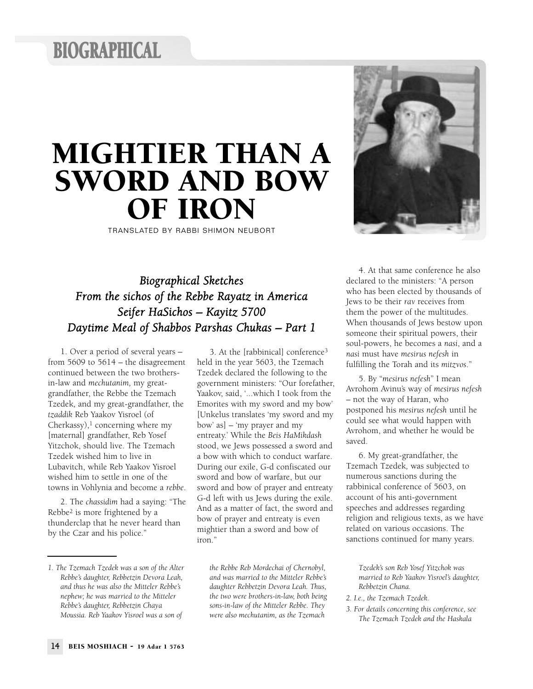# BIOGRAPHICAL

# MIGHTIER THAN A SWORD AND BOW OF IRON

TRANSLATED BY RABBI SHIMON NEUBORT



# *Biographical Sketches From the sichos of the Rebbe Rayatz in America Seifer HaSichos – Kayitz 5700 Daytime Meal of Shabbos Parshas Chukas – Part 1*

1. Over a period of several years – from 5609 to 5614 – the disagreement continued between the two brothersin-law and *mechutanim,* my greatgrandfather, the Rebbe the Tzemach Tzedek*,* and my great-grandfather, the *tzaddik* Reb Yaakov Yisroel (of Cherkassy),<sup>1</sup> concerning where my [maternal] grandfather, Reb Yosef Yitzchok, should live. The Tzemach Tzedek wished him to live in Lubavitch, while Reb Yaakov Yisroel wished him to settle in one of the towns in Vohlynia and become a *rebbe*.

2. The *chassidim* had a saying: "The Rebbe2 is more frightened by a thunderclap that he never heard than by the Czar and his police."

3. At the [rabbinical] conference3 held in the year 5603, the Tzemach Tzedek declared the following to the government ministers: "Our forefather, Yaakov, said, '...which I took from the Emorites with my sword and my bow' [Unkelus translates 'my sword and my bow' as] – 'my prayer and my entreaty.' While the *Beis HaMikdash* stood, we Jews possessed a sword and a bow with which to conduct warfare. During our exile, G-d confiscated our sword and bow of warfare, but our sword and bow of prayer and entreaty G-d left with us Jews during the exile. And as a matter of fact, the sword and bow of prayer and entreaty is even mightier than a sword and bow of iron."

*the Rebbe Reb Mordechai of Chernobyl, and was married to the Mitteler Rebbe's daughter Rebbetzin Devora Leah. Thus, the two were brothers-in-law, both being sons-in-law of the Mitteler Rebbe. They were also mechutanim, as the Tzemach*

4. At that same conference he also declared to the ministers: "A person who has been elected by thousands of Jews to be their *rav* receives from them the power of the multitudes. When thousands of Jews bestow upon someone their spiritual powers, their soul-powers, he becomes a *nasi*, and a *nasi* must have *mesirus nefesh* in fulfilling the Torah and its *mitzvos*."

5. By "*mesirus nefesh*" I mean Avrohom Avinu's way of *mesirus nefesh* – not the way of Haran, who postponed his *mesirus nefesh* until he could see what would happen with Avrohom, and whether he would be saved.

6. My great-grandfather, the Tzemach Tzedek*,* was subjected to numerous sanctions during the rabbinical conference of 5603, on account of his anti-government speeches and addresses regarding religion and religious texts, as we have related on various occasions. The sanctions continued for many years.

*Tzedek's son Reb Yosef Yitzchok was married to Reb Yaakov Yisroel's daughter, Rebbetzin Chana.*

- *2. I.e., the Tzemach Tzedek.*
- *3. For details concerning this conference, see The Tzemach Tzedek and the Haskala*

*<sup>1.</sup> The Tzemach Tzedek was a son of the Alter Rebbe's daughter, Rebbetzin Devora Leah, and thus he was also the Mitteler Rebbe's nephew; he was married to the Mitteler Rebbe's daughter, Rebbetzin Chaya Moussia. Reb Yaakov Yisroel was a son of*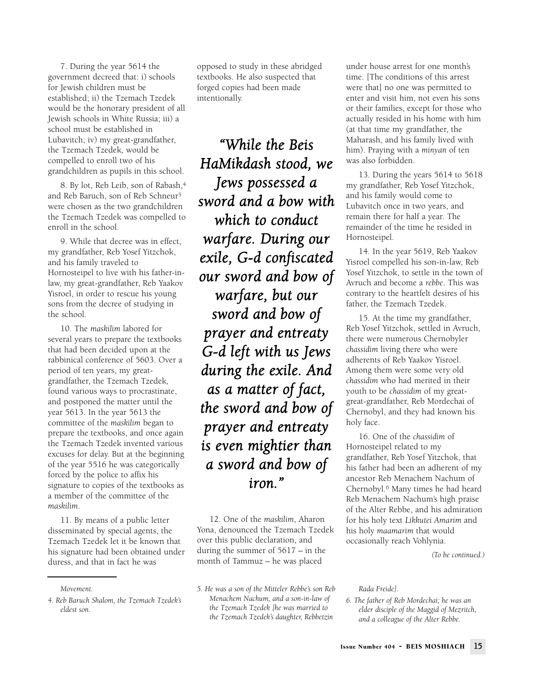7. During the year 5614 the government decreed that: i) schools for Jewish children must be established; ii) the Tzemach Tzedek would be the honorary president of all Jewish schools in White Russia; iii) a school must be established in Lubavitch; iv) my great-grandfather, the Tzemach Tzedek*,* would be compelled to enroll two of his grandchildren as pupils in this school.

8. By lot, Reb Leib, son of Rabash,4 and Reb Baruch, son of Reb Schneur5 were chosen as the two grandchildren the Tzemach Tzedek was compelled to enroll in the school.

9. While that decree was in effect, my grandfather, Reb Yosef Yitzchok, and his family traveled to Hornosteipel to live with his father-inlaw, my great-grandfather, Reb Yaakov Yisroel, in order to rescue his young sons from the decree of studying in the school.

10. The *maskilim* labored for several years to prepare the textbooks that had been decided upon at the rabbinical conference of 5603. Over a period of ten years, my greatgrandfather, the Tzemach Tzedek*,* found various ways to procrastinate, and postponed the matter until the year 5613. In the year 5613 the committee of the *maskilim* began to prepare the textbooks, and once again the Tzemach Tzedek invented various excuses for delay. But at the beginning of the year 5516 he was categorically forced by the police to affix his signature to copies of the textbooks as a member of the committee of the *maskilim*.

11. By means of a public letter disseminated by special agents, the Tzemach Tzedek let it be known that his signature had been obtained under duress, and that in fact he was

opposed to study in these abridged textbooks. He also suspected that forged copies had been made intentionally.

*"While the Beis HaMikdash stood, we Jews possessed a sword and a bow with which to conduct warfare. During our exile, G-d confiscated our sword and bow of warfare, but our sword and bow of prayer and entreaty G-d left with us Jews during the exile. And as a matter of fact, the sword and bow of prayer and entreaty is even mightier than a sword and bow of iron."*

12. One of the *maskilim*, Aharon Yona, denounced the Tzemach Tzedek over this public declaration, and during the summer of 5617 – in the month of Tammuz – he was placed

*5. He was a son of the Mitteler Rebbe's son Reb Menachem Nachum, and a son-in-law of the Tzemach Tzedek [he was married to the Tzemach Tzedek's daughter, Rebbetzin*

under house arrest for one month's time. [The conditions of this arrest were that] no one was permitted to enter and visit him, not even his sons or their families, except for those who actually resided in his home with him (at that time my grandfather, the Maharash, and his family lived with him). Praying with a *minyan* of ten was also forbidden.

13. During the years 5614 to 5618 my grandfather, Reb Yosef Yitzchok, and his family would come to Lubavitch once in two years, and remain there for half a year. The remainder of the time he resided in Hornosteipel.

14. In the year 5619, Reb Yaakov Yisroel compelled his son-in-law, Reb Yosef Yitzchok, to settle in the town of Avruch and become a *rebbe*. This was contrary to the heartfelt desires of his father, the Tzemach Tzedek.

15. At the time my grandfather, Reb Yosef Yitzchok, settled in Avruch, there were numerous Chernobyler *chassidim* living there who were adherents of Reb Yaakov Yisroel. Among them were some very old *chassidim* who had merited in their youth to be *chassidim* of my greatgreat-grandfather, Reb Mordechai of Chernobyl, and they had known his holy face.

16. One of the *chassidim* of Hornosteipel related to my grandfather, Reb Yosef Yitzchok, that his father had been an adherent of my ancestor Reb Menachem Nachum of Chernobyl.6 Many times he had heard Reb Menachem Nachum's high praise of the Alter Rebbe, and his admiration for his holy text *Likkutei Amarim* and his holy *maamarim* that would occasionally reach Vohlynia.

*(To be continued.)*

*Rada Freide].*

*Movement.*

*<sup>4.</sup> Reb Baruch Shalom, the Tzemach Tzedek's eldest son.*

*<sup>6.</sup> The father of Reb Mordechai; he was an elder disciple of the Maggid of Mezritch, and a colleague of the Alter Rebbe.*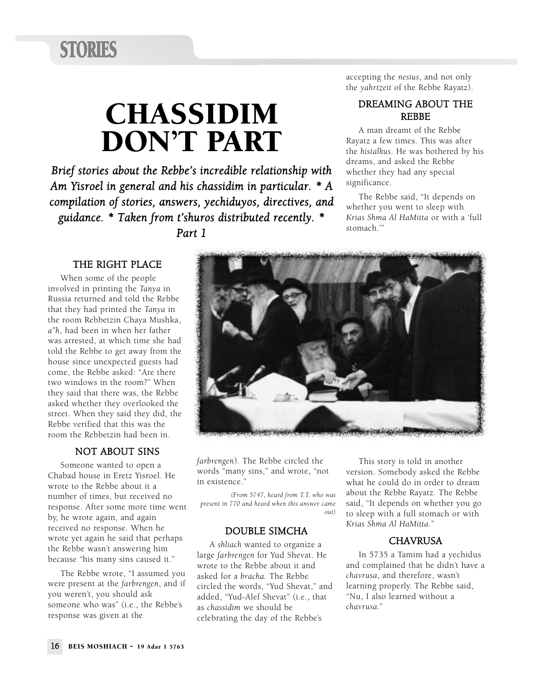16 BEIS MOSHIACH - 19 Adar 1 5763

# CHASSIDIM DON'T PART

*Brief stories about the Rebbe's incredible relationship with Am Yisroel in general and his chassidim in particular. \* A compilation of stories, answers, yechiduyos, directives, and guidance. \* Taken from t'shuros distributed recently. \* Part 1*

# THE RIGHT PLACE

When some of the people involved in printing the *Tanya* in Russia returned and told the Rebbe that they had printed the *Tanya* in the room Rebbetzin Chaya Mushka, *a"h*, had been in when her father was arrested, at which time she had told the Rebbe to get away from the house since unexpected guests had come, the Rebbe asked: "Are there two windows in the room?" When they said that there was, the Rebbe asked whether they overlooked the street. When they said they did, the Rebbe verified that this was the room the Rebbetzin had been in.

# NOT ABOUT SINS

Someone wanted to open a Chabad house in Eretz Yisroel. He wrote to the Rebbe about it a number of times, but received no response. After some more time went by, he wrote again, and again received no response. When he wrote yet again he said that perhaps the Rebbe wasn't answering him because "his many sins caused it."

The Rebbe wrote, "I assumed you were present at the *farbrengen*, and if you weren't, you should ask someone who was" (i.e., the Rebbe's response was given at the

accepting the *nesius*, and not only the *yahrtzeit* of the Rebbe Rayatz).

## DREAMING ABOUT THE REBBE

A man dreamt of the Rebbe Rayatz a few times. This was after the *histalkus*. He was bothered by his dreams, and asked the Rebbe whether they had any special significance.

The Rebbe said, "It depends on whether you went to sleep with *Krias Shma Al HaMitta* or with a 'full stomach.'"

*farbrengen*). The Rebbe circled the words "many sins," and wrote, "not in existence."

*(From 5747, heard from T.T. who was present in 770 and heard when this answer came out)*

# DOUBLE SIMCHA

A *shliach* wanted to organize a large *farbrengen* for Yud Shevat. He wrote to the Rebbe about it and asked for a *bracha*. The Rebbe circled the words, "Yud Shevat," and added, "Yud-Alef Shevat" (i.e., that as *chassidim* we should be celebrating the day of the Rebbe's

This story is told in another version. Somebody asked the Rebbe what he could do in order to dream about the Rebbe Rayatz. The Rebbe said, "It depends on whether you go to sleep with a full stomach or with *Krias Shma Al HaMitta*."

## **CHAVRUSA**

In 5735 a Tamim had a yechidus and complained that he didn't have a *chavrusa*, and therefore, wasn't learning properly. The Rebbe said, "Nu, I also learned without a *chavrusa*."



# **STORIES**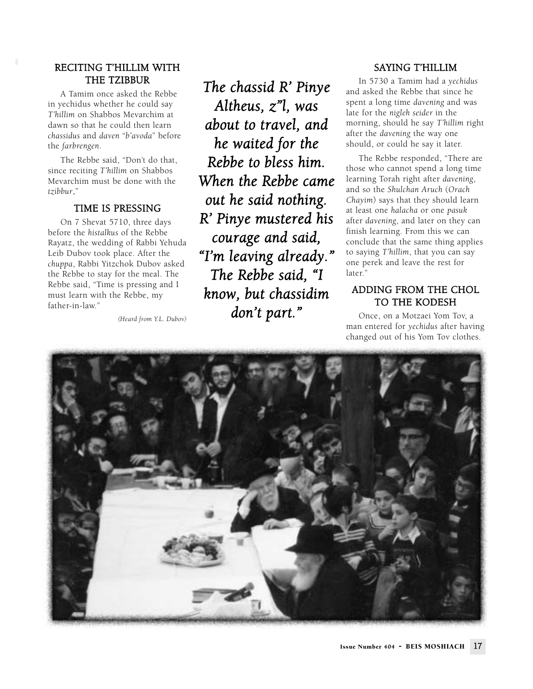### RECITING T'HILLIM WITH THE TZIBBUR

A Tamim once asked the Rebbe in yechidus whether he could say *T'hillim* on Shabbos Mevarchim at dawn so that he could then learn *chassidus* and *daven* "*b'avoda*" before the *farbrengen*.

The Rebbe said, "Don't do that, since reciting *T'hillim* on Shabbos Mevarchim must be done with the *tzibbur*."

### TIME IS PRESSING

On 7 Shevat 5710, three days before the *histalkus* of the Rebbe Rayatz, the wedding of Rabbi Yehuda Leib Dubov took place. After the *chuppa*, Rabbi Yitzchok Dubov asked the Rebbe to stay for the meal. The Rebbe said, "Time is pressing and I must learn with the Rebbe, my father-in-law."

*(Heard from Y.L. Dubov)*

*The chassid R' Pinye Altheus, z"l, was about to travel, and he waited for the Rebbe to bless him. When the Rebbe came out he said nothing. R' Pinye mustered his courage and said, "I'm leaving already." The Rebbe said, "I know, but chassidim don't part."*

### SAYING T'HILLIM

In 5730 a Tamim had a *yechidus* and asked the Rebbe that since he spent a long time *davening* and was late for the *nigleh seider* in the morning, should he say *T'hillim* right after the *davening* the way one should, or could he say it later.

The Rebbe responded, "There are those who cannot spend a long time learning Torah right after *davening*, and so the *Shulchan Aruch* (*Orach Chayim*) says that they should learn at least one *halacha* or one *pasuk* after *davening*, and later on they can finish learning. From this we can conclude that the same thing applies to saying *T'hillim*, that you can say one perek and leave the rest for later."

## ADDING FROM THE CHOL TO THE KODESH

Once, on a Motzaei Yom Tov, a man entered for *yechidus* after having changed out of his Yom Tov clothes.

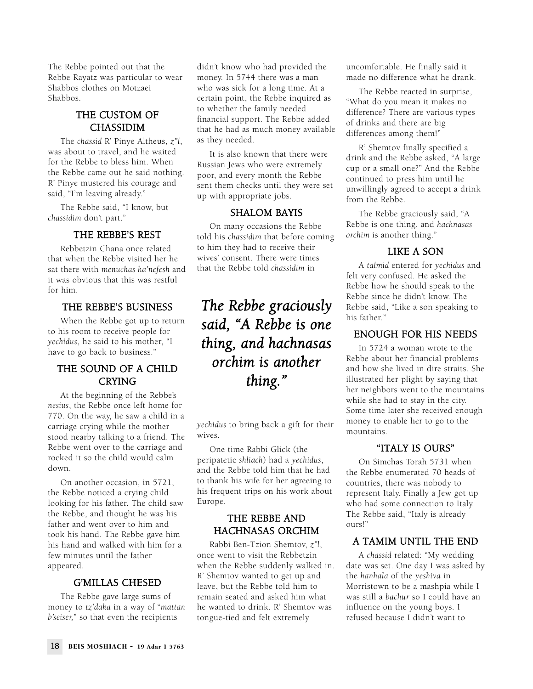The Rebbe pointed out that the Rebbe Rayatz was particular to wear Shabbos clothes on Motzaei Shabbos.

### THE CUSTOM OF CHASSIDIM

The *chassid* R' Pinye Altheus, *z"l*, was about to travel, and he waited for the Rebbe to bless him. When the Rebbe came out he said nothing. R' Pinye mustered his courage and said, "I'm leaving already."

The Rebbe said, "I know, but *chassidim* don't part."

### THE REBBE'S REST

Rebbetzin Chana once related that when the Rebbe visited her he sat there with *menuchas ha'nefesh* and it was obvious that this was restful for him.

### THE REBBE'S BUSINESS

When the Rebbe got up to return to his room to receive people for *yechidus*, he said to his mother, "I have to go back to business."

### THE SOUND OF A CHILD CRYING

At the beginning of the Rebbe's *nesius*, the Rebbe once left home for 770. On the way, he saw a child in a carriage crying while the mother stood nearby talking to a friend. The Rebbe went over to the carriage and rocked it so the child would calm down.

On another occasion, in 5721, the Rebbe noticed a crying child looking for his father. The child saw the Rebbe, and thought he was his father and went over to him and took his hand. The Rebbe gave him his hand and walked with him for a few minutes until the father appeared.

### G'MILLAS CHESED

The Rebbe gave large sums of money to *tz'daka* in a way of "*mattan b'seiser,*" so that even the recipients

didn't know who had provided the money. In 5744 there was a man who was sick for a long time. At a certain point, the Rebbe inquired as to whether the family needed financial support. The Rebbe added that he had as much money available as they needed.

It is also known that there were Russian Jews who were extremely poor, and every month the Rebbe sent them checks until they were set up with appropriate jobs.

#### SHALOM BAYIS

On many occasions the Rebbe told his *chassidim* that before coming to him they had to receive their wives' consent. There were times that the Rebbe told *chassidim* in

# *The Rebbe graciously said, "A Rebbe is one thing, and hachnasas orchim is another thing."*

*yechidus* to bring back a gift for their wives.

One time Rabbi Glick (the peripatetic *shliach*) had a *yechidus*, and the Rebbe told him that he had to thank his wife for her agreeing to his frequent trips on his work about Europe.

### THE REBBE AND HACHNASAS ORCHIM

Rabbi Ben-Tzion Shemtov, *z"l*, once went to visit the Rebbetzin when the Rebbe suddenly walked in. R' Shemtov wanted to get up and leave, but the Rebbe told him to remain seated and asked him what he wanted to drink. R' Shemtov was tongue-tied and felt extremely

uncomfortable. He finally said it made no difference what he drank.

The Rebbe reacted in surprise, "What do you mean it makes no difference? There are various types of drinks and there are big differences among them!"

R' Shemtov finally specified a drink and the Rebbe asked, "A large cup or a small one?" And the Rebbe continued to press him until he unwillingly agreed to accept a drink from the Rebbe.

The Rebbe graciously said, "A Rebbe is one thing, and *hachnasas orchim* is another thing."

### LIKE A SON

A *talmid* entered for *yechidus* and felt very confused. He asked the Rebbe how he should speak to the Rebbe since he didn't know. The Rebbe said, "Like a son speaking to his father."

### ENOUGH FOR HIS NEEDS

In 5724 a woman wrote to the Rebbe about her financial problems and how she lived in dire straits. She illustrated her plight by saying that her neighbors went to the mountains while she had to stay in the city. Some time later she received enough money to enable her to go to the mountains.

### "ITALY IS OURS"

On Simchas Torah 5731 when the Rebbe enumerated 70 heads of countries, there was nobody to represent Italy. Finally a Jew got up who had some connection to Italy. The Rebbe said, "Italy is already ours!"

### A TAMIM UNTIL THE END

A *chassid* related: "My wedding date was set. One day I was asked by the *hanhala* of the *yeshiva* in Morristown to be a mashpia while I was still a *bachur* so I could have an influence on the young boys. I refused because I didn't want to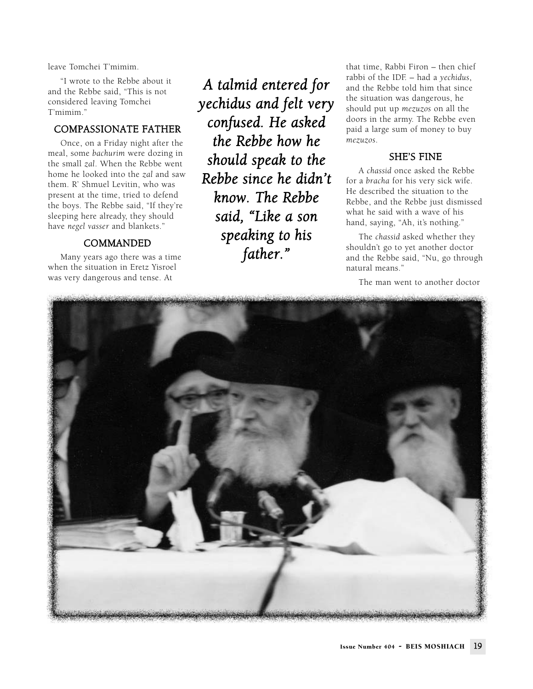leave Tomchei T'mimim.

"I wrote to the Rebbe about it and the Rebbe said, "This is not considered leaving Tomchei T'mimim."

### COMPASSIONATE FATHER

Once, on a Friday night after the meal, some *bachurim* were dozing in the small *zal*. When the Rebbe went home he looked into the *zal* and saw them. R' Shmuel Levitin, who was present at the time, tried to defend the boys. The Rebbe said, "If they're sleeping here already, they should have *negel vasser* and blankets."

### COMMANDED

Many years ago there was a time when the situation in Eretz Yisroel was very dangerous and tense. At

*A talmid entered for yechidus and felt very confused. He asked the Rebbe how he should speak to the Rebbe since he didn't know. The Rebbe said, "Like a son speaking to his father."*

that time, Rabbi Firon – then chief rabbi of the IDF. – had a *yechidus*, and the Rebbe told him that since the situation was dangerous, he should put up *mezuzos* on all the doors in the army. The Rebbe even paid a large sum of money to buy *mezuzos*.

### SHE'S FINE

A *chassid* once asked the Rebbe for a *bracha* for his very sick wife. He described the situation to the Rebbe, and the Rebbe just dismissed what he said with a wave of his hand, saying, "Ah, it's nothing."

The *chassid* asked whether they shouldn't go to yet another doctor and the Rebbe said, "Nu, go through natural means."

The man went to another doctor

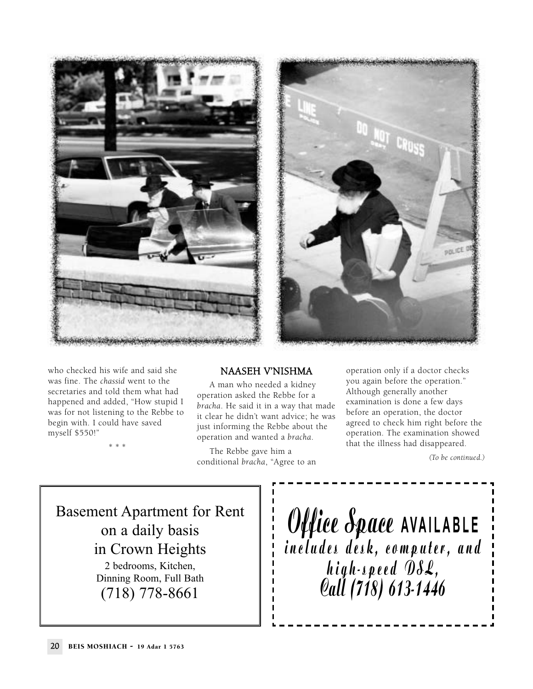



who checked his wife and said she was fine. The *chassid* went to the secretaries and told them what had happened and added, "How stupid I was for not listening to the Rebbe to begin with. I could have saved myself \$550!"

\*\*\*

NAASEH V'NISHMA

A man who needed a kidney operation asked the Rebbe for a *bracha*. He said it in a way that made it clear he didn't want advice; he was just informing the Rebbe about the operation and wanted a *bracha*.

The Rebbe gave him a conditional *bracha*, "Agree to an operation only if a doctor checks you again before the operation." Although generally another examination is done a few days before an operation, the doctor agreed to check him right before the operation. The examination showed that the illness had disappeared.

*(To be continued.)* 

Basement Apartment for Rent on a daily basis in Crown Heights 2 bedrooms, Kitchen, Dinning Room, Full Bath

(718) 778-8661

*Office Space* **AVAILABLE** *includes desk, computer, and high-speed DSL, Call (718) 613-1446*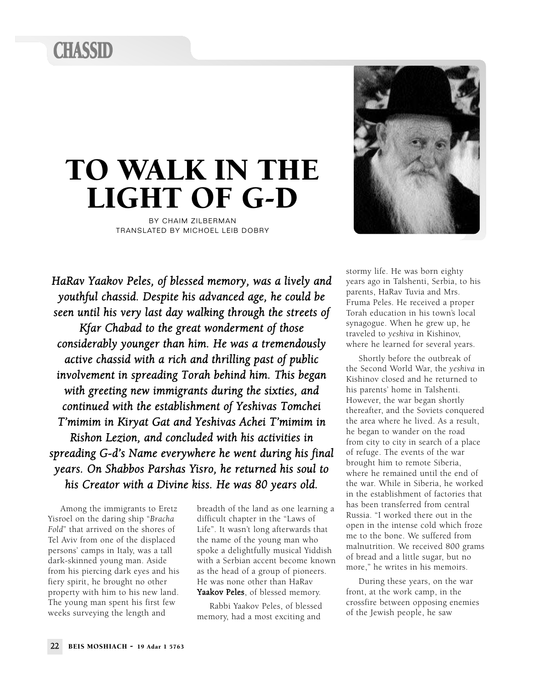# CHASSID

# TO WALK IN THE LIGHT OF G-D

BY CHAIM ZILBERMAN TRANSLATED BY MICHOEL LEIB DOBRY



*HaRav Yaakov Peles, of blessed memory, was a lively and youthful chassid. Despite his advanced age, he could be seen until his very last day walking through the streets of Kfar Chabad to the great wonderment of those considerably younger than him. He was a tremendously active chassid with a rich and thrilling past of public involvement in spreading Torah behind him. This began with greeting new immigrants during the sixties, and continued with the establishment of Yeshivas Tomchei T'mimim in Kiryat Gat and Yeshivas Achei T'mimim in Rishon Lezion, and concluded with his activities in spreading G-d's Name everywhere he went during his final years. On Shabbos Parshas Yisro, he returned his soul to his Creator with a Divine kiss. He was 80 years old.*

Among the immigrants to Eretz Yisroel on the daring ship "*Bracha Fold*" that arrived on the shores of Tel Aviv from one of the displaced persons' camps in Italy, was a tall dark-skinned young man. Aside from his piercing dark eyes and his fiery spirit, he brought no other property with him to his new land. The young man spent his first few weeks surveying the length and

breadth of the land as one learning a difficult chapter in the "Laws of Life". It wasn't long afterwards that the name of the young man who spoke a delightfully musical Yiddish with a Serbian accent become known as the head of a group of pioneers. He was none other than HaRav Yaakov Peles, of blessed memory.

Rabbi Yaakov Peles, of blessed memory, had a most exciting and

stormy life. He was born eighty years ago in Talshenti, Serbia, to his parents, HaRav Tuvia and Mrs. Fruma Peles. He received a proper Torah education in his town's local synagogue. When he grew up, he traveled to *yeshiva* in Kishinov, where he learned for several years.

Shortly before the outbreak of the Second World War, the *yeshiva* in Kishinov closed and he returned to his parents' home in Talshenti. However, the war began shortly thereafter, and the Soviets conquered the area where he lived. As a result, he began to wander on the road from city to city in search of a place of refuge. The events of the war brought him to remote Siberia, where he remained until the end of the war. While in Siberia, he worked in the establishment of factories that has been transferred from central Russia. "I worked there out in the open in the intense cold which froze me to the bone. We suffered from malnutrition. We received 800 grams of bread and a little sugar, but no more," he writes in his memoirs.

During these years, on the war front, at the work camp, in the crossfire between opposing enemies of the Jewish people, he saw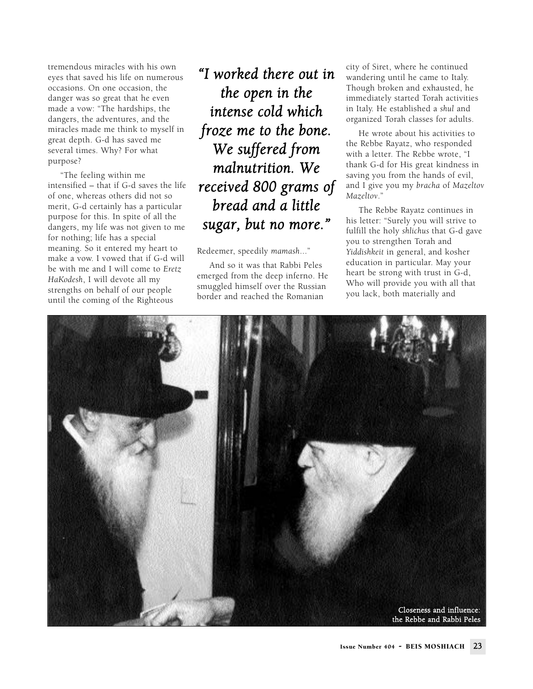tremendous miracles with his own eyes that saved his life on numerous occasions. On one occasion, the danger was so great that he even made a vow: "The hardships, the dangers, the adventures, and the miracles made me think to myself in great depth. G-d has saved me several times. Why? For what purpose?

"The feeling within me intensified – that if G-d saves the life of one, whereas others did not so merit, G-d certainly has a particular purpose for this. In spite of all the dangers, my life was not given to me for nothing; life has a special meaning. So it entered my heart to make a vow. I vowed that if G-d will be with me and I will come to *Eretz HaKodesh*, I will devote all my strengths on behalf of our people until the coming of the Righteous

*"I worked there out in the open in the intense cold which froze me to the bone. We suffered from malnutrition. We received 800 grams of bread and a little sugar, but no more."*

Redeemer, speedily *mamash*..."

And so it was that Rabbi Peles emerged from the deep inferno. He smuggled himself over the Russian border and reached the Romanian

city of Siret, where he continued wandering until he came to Italy. Though broken and exhausted, he immediately started Torah activities in Italy. He established a *shul* and organized Torah classes for adults.

He wrote about his activities to the Rebbe Rayatz, who responded with a letter. The Rebbe wrote, "I thank G-d for His great kindness in saving you from the hands of evil, and I give you my *bracha* of *Mazeltov Mazeltov*."

The Rebbe Rayatz continues in his letter: "Surely you will strive to fulfill the holy *shlichus* that G-d gave you to strengthen Torah and *Yiddishkeit* in general, and kosher education in particular. May your heart be strong with trust in G-d, Who will provide you with all that you lack, both materially and

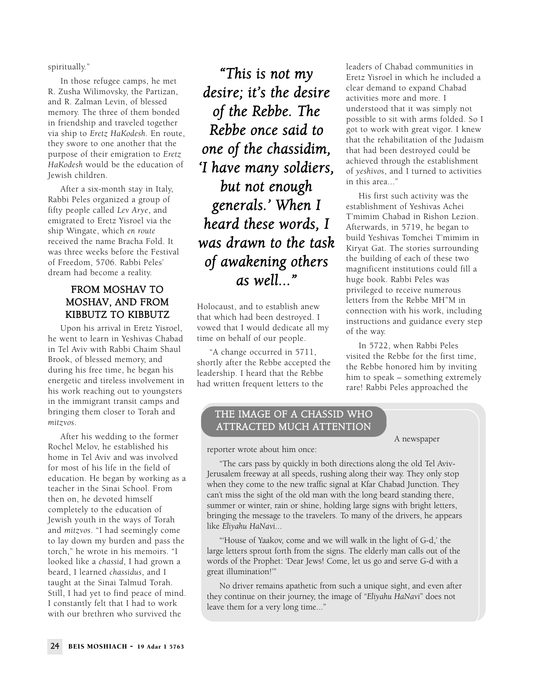spiritually."

In those refugee camps, he met R. Zusha Wilimovsky, the Partizan, and R. Zalman Levin, of blessed memory. The three of them bonded in friendship and traveled together via ship to *Eretz HaKodesh*. En route, they swore to one another that the purpose of their emigration to *Eretz HaKodesh* would be the education of Jewish children.

After a six-month stay in Italy, Rabbi Peles organized a group of fifty people called *Lev Arye*, and emigrated to Eretz Yisroel via the ship Wingate, which *en route* received the name Bracha Fold. It was three weeks before the Festival of Freedom, 5706. Rabbi Peles' dream had become a reality.

## FROM MOSHAV TO MOSHAV, AND FROM KIBBUTZ TO KIBBUTZ

Upon his arrival in Eretz Yisroel, he went to learn in Yeshivas Chabad in Tel Aviv with Rabbi Chaim Shaul Brook, of blessed memory, and during his free time, he began his energetic and tireless involvement in his work reaching out to youngsters in the immigrant transit camps and bringing them closer to Torah and *mitzvos*.

After his wedding to the former Rochel Melov, he established his home in Tel Aviv and was involved for most of his life in the field of education. He began by working as a teacher in the Sinai School. From then on, he devoted himself completely to the education of Jewish youth in the ways of Torah and *mitzvos*. "I had seemingly come to lay down my burden and pass the torch," he wrote in his memoirs. "I looked like a *chassid*, I had grown a beard, I learned *chassidus*, and I taught at the Sinai Talmud Torah. Still, I had yet to find peace of mind. I constantly felt that I had to work with our brethren who survived the

*"This is not my desire; it's the desire of the Rebbe. The Rebbe once said to one of the chassidim, 'I have many soldiers, but not enough generals.' When I heard these words, I was drawn to the task of awakening others as well..."*

Holocaust, and to establish anew that which had been destroyed. I vowed that I would dedicate all my time on behalf of our people.

"A change occurred in 5711, shortly after the Rebbe accepted the leadership. I heard that the Rebbe had written frequent letters to the

leaders of Chabad communities in Eretz Yisroel in which he included a clear demand to expand Chabad activities more and more. I understood that it was simply not possible to sit with arms folded. So I got to work with great vigor. I knew that the rehabilitation of the Judaism that had been destroyed could be achieved through the establishment of *yeshivos*, and I turned to activities in this area..."

His first such activity was the establishment of Yeshivas Achei T'mimim Chabad in Rishon Lezion. Afterwards, in 5719, he began to build Yeshivas Tomchei T'mimim in Kiryat Gat. The stories surrounding the building of each of these two magnificent institutions could fill a huge book. Rabbi Peles was privileged to receive numerous letters from the Rebbe MH"M in connection with his work, including instructions and guidance every step of the way.

In 5722, when Rabbi Peles visited the Rebbe for the first time, the Rebbe honored him by inviting him to speak – something extremely rare! Rabbi Peles approached the

### THE IMAGE OF A CHASSID WHO ATTRACTED MUCH ATTENTION

A newspaper

reporter wrote about him once:

"The cars pass by quickly in both directions along the old Tel Aviv-Jerusalem freeway at all speeds, rushing along their way. They only stop when they come to the new traffic signal at Kfar Chabad Junction. They can't miss the sight of the old man with the long beard standing there, summer or winter, rain or shine, holding large signs with bright letters, bringing the message to the travelers. To many of the drivers, he appears like *Eliyahu HaNavi*...

"'House of Yaakov, come and we will walk in the light of G-d,' the large letters sprout forth from the signs. The elderly man calls out of the words of the Prophet: 'Dear Jews! Come, let us go and serve G-d with a great illumination!'"

No driver remains apathetic from such a unique sight, and even after they continue on their journey, the image of "*Eliyahu HaNavi*" does not leave them for a very long time..."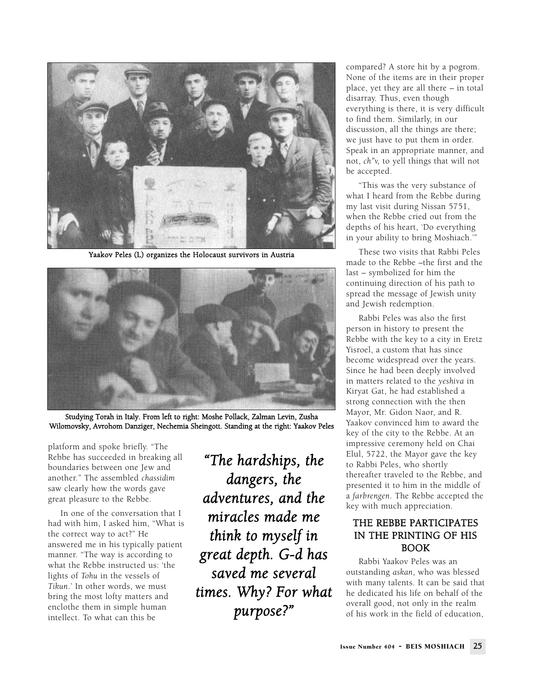

Yaakov Peles (L) organizes the Holocaust survivors in Austria



Studying Torah in Italy. From left to right: Moshe Pollack, Zalman Levin, Zusha Wilomovsky, Avrohom Danziger, Nechemia Sheingott. Standing at the right: Yaakov Peles

platform and spoke briefly. "The Rebbe has succeeded in breaking all boundaries between one Jew and another." The assembled *chassidim* saw clearly how the words gave great pleasure to the Rebbe.

In one of the conversation that I had with him, I asked him, "What is the correct way to act?" He answered me in his typically patient manner. "The way is according to what the Rebbe instructed us: 'the lights of *Tohu* in the vessels of *Tikun*.' In other words, we must bring the most lofty matters and enclothe them in simple human intellect. To what can this be

*"The hardships, the dangers, the adventures, and the miracles made me think to myself in great depth. G-d has saved me several times. Why? For what purpose?"*

compared? A store hit by a pogrom. None of the items are in their proper place, yet they are all there – in total disarray. Thus, even though everything is there, it is very difficult to find them. Similarly, in our discussion, all the things are there; we just have to put them in order. Speak in an appropriate manner, and not, *ch"v,* to yell things that will not be accepted.

"This was the very substance of what I heard from the Rebbe during my last visit during Nissan 5751, when the Rebbe cried out from the depths of his heart, 'Do everything in your ability to bring Moshiach.'"

These two visits that Rabbi Peles made to the Rebbe –the first and the last – symbolized for him the continuing direction of his path to spread the message of Jewish unity and Jewish redemption.

Rabbi Peles was also the first person in history to present the Rebbe with the key to a city in Eretz Yisroel, a custom that has since become widespread over the years. Since he had been deeply involved in matters related to the *yeshiva* in Kiryat Gat, he had established a strong connection with the then Mayor, Mr. Gidon Naor, and R. Yaakov convinced him to award the key of the city to the Rebbe. At an impressive ceremony held on Chai Elul, 5722, the Mayor gave the key to Rabbi Peles, who shortly thereafter traveled to the Rebbe, and presented it to him in the middle of a *farbrengen*. The Rebbe accepted the key with much appreciation.

## THE REBBE PARTICIPATES IN THE PRINTING OF HIS BOOK

Rabbi Yaakov Peles was an outstanding *askan*, who was blessed with many talents. It can be said that he dedicated his life on behalf of the overall good, not only in the realm of his work in the field of education,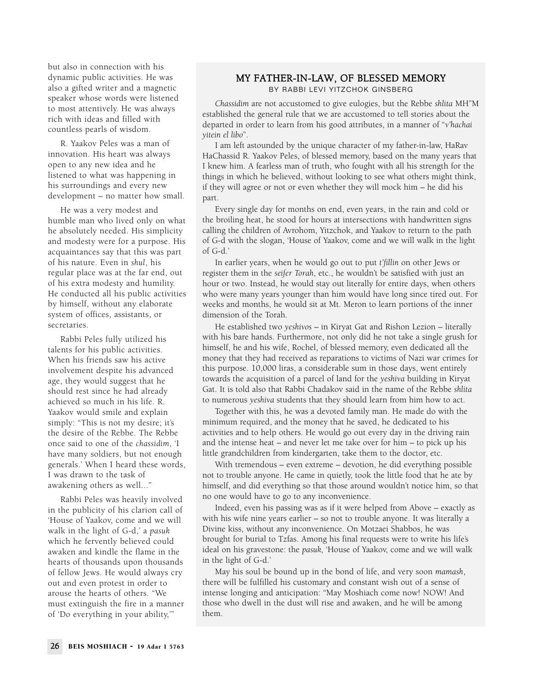but also in connection with his dynamic public activities. He was also a gifted writer and a magnetic speaker whose words were listened to most attentively. He was always rich with ideas and filled with countless pearls of wisdom.

R. Yaakov Peles was a man of innovation. His heart was always open to any new idea and he listened to what was happening in his surroundings and every new development – no matter how small.

He was a very modest and humble man who lived only on what he absolutely needed. His simplicity and modesty were for a purpose. His acquaintances say that this was part of his nature. Even in *shul*, his regular place was at the far end, out of his extra modesty and humility. He conducted all his public activities by himself, without any elaborate system of offices, assistants, or secretaries.

Rabbi Peles fully utilized his talents for his public activities. When his friends saw his active involvement despite his advanced age, they would suggest that he should rest since he had already achieved so much in his life. R. Yaakov would smile and explain simply: "This is not my desire; it's the desire of the Rebbe. The Rebbe once said to one of the *chassidim*, 'I have many soldiers, but not enough generals.' When I heard these words, I was drawn to the task of awakening others as well..."

Rabbi Peles was heavily involved in the publicity of his clarion call of 'House of Yaakov, come and we will walk in the light of G-d,' a *pasuk* which he fervently believed could awaken and kindle the flame in the hearts of thousands upon thousands of fellow Jews. He would always cry out and even protest in order to arouse the hearts of others. "We must extinguish the fire in a manner of 'Do everything in your ability,'"

#### MY FATHER-IN-LAW, OF BLESSED MEMORY BY RABBI LEVI YITZCHOK GINSBERG

*Chassidim* are not accustomed to give eulogies, but the Rebbe *shlita* MH"M established the general rule that we are accustomed to tell stories about the departed in order to learn from his good attributes, in a manner of "*v'hachai yitein el libo*".

I am left astounded by the unique character of my father-in-law, HaRav HaChassid R. Yaakov Peles, of blessed memory, based on the many years that I knew him. A fearless man of truth, who fought with all his strength for the things in which he believed, without looking to see what others might think, if they will agree or not or even whether they will mock him – he did his part.

Every single day for months on end, even years, in the rain and cold or the broiling heat, he stood for hours at intersections with handwritten signs calling the children of Avrohom, Yitzchok, and Yaakov to return to the path of G-d with the slogan, 'House of Yaakov, come and we will walk in the light  $of G-d$ 

In earlier years, when he would go out to put *t'fillin* on other Jews or register them in the *seifer Torah*, etc., he wouldn't be satisfied with just an hour or two. Instead, he would stay out literally for entire days, when others who were many years younger than him would have long since tired out. For weeks and months, he would sit at Mt. Meron to learn portions of the inner dimension of the Torah.

He established two *yeshivos* – in Kiryat Gat and Rishon Lezion – literally with his bare hands. Furthermore, not only did he not take a single grush for himself, he and his wife, Rochel, of blessed memory, even dedicated all the money that they had received as reparations to victims of Nazi war crimes for this purpose. 10,000 liras, a considerable sum in those days, went entirely towards the acquisition of a parcel of land for the *yeshiva* building in Kiryat Gat. It is told also that Rabbi Chadakov said in the name of the Rebbe *shlita* to numerous *yeshiva* students that they should learn from him how to act.

Together with this, he was a devoted family man. He made do with the minimum required, and the money that he saved, he dedicated to his activities and to help others. He would go out every day in the driving rain and the intense heat – and never let me take over for him – to pick up his little grandchildren from kindergarten, take them to the doctor, etc.

With tremendous – even extreme – devotion, he did everything possible not to trouble anyone. He came in quietly, took the little food that he ate by himself, and did everything so that those around wouldn't notice him, so that no one would have to go to any inconvenience.

Indeed, even his passing was as if it were helped from Above – exactly as with his wife nine years earlier – so not to trouble anyone. It was literally a Divine kiss, without any inconvenience. On Motzaei Shabbos, he was brought for burial to Tzfas. Among his final requests were to write his life's ideal on his gravestone: the *pasuk,* 'House of Yaakov, come and we will walk in the light of G-d.'

May his soul be bound up in the bond of life, and very soon *mamash*, there will be fulfilled his customary and constant wish out of a sense of intense longing and anticipation: "May Moshiach come now! NOW! And those who dwell in the dust will rise and awaken, and he will be among them.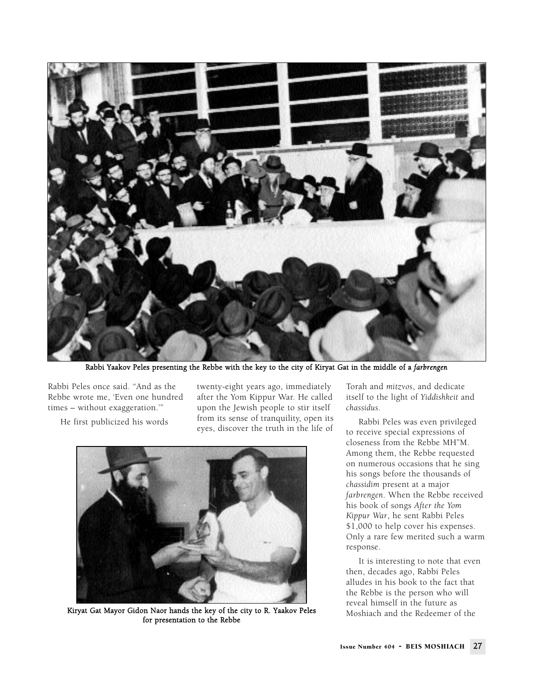

Rabbi Yaakov Peles presenting the Rebbe with the key to the city of Kiryat Gat in the middle of a *farbrengen*

Rabbi Peles once said. "And as the Rebbe wrote me, 'Even one hundred times – without exaggeration.'"

He first publicized his words

twenty-eight years ago, immediately after the Yom Kippur War. He called upon the Jewish people to stir itself from its sense of tranquility, open its eyes, discover the truth in the life of



Kiryat Gat Mayor Gidon Naor hands the key of the city to R. Yaakov Peles for presentation to the Rebbe

Torah and *mitzvos*, and dedicate itself to the light of *Yiddishkeit* and *chassidus*.

Rabbi Peles was even privileged to receive special expressions of closeness from the Rebbe MH"M. Among them, the Rebbe requested on numerous occasions that he sing his songs before the thousands of *chassidim* present at a major *farbrengen*. When the Rebbe received his book of songs *After the Yom Kippur War*, he sent Rabbi Peles \$1,000 to help cover his expenses. Only a rare few merited such a warm response.

It is interesting to note that even then, decades ago, Rabbi Peles alludes in his book to the fact that the Rebbe is the person who will reveal himself in the future as Moshiach and the Redeemer of the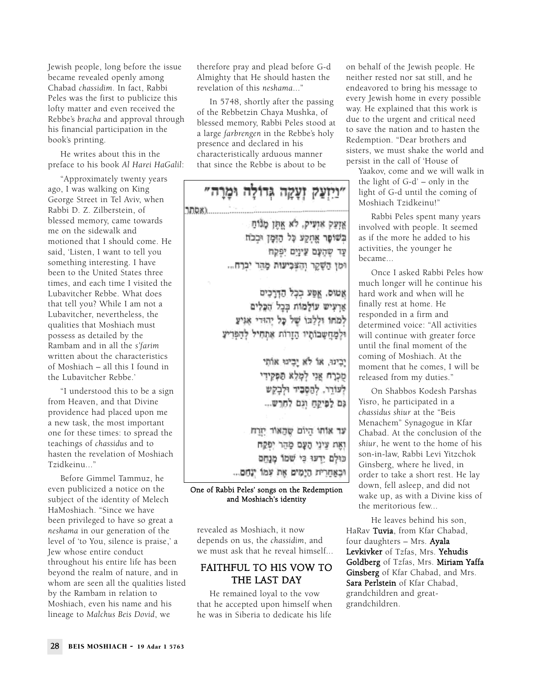Jewish people, long before the issue became revealed openly among Chabad *chassidim*. In fact, Rabbi Peles was the first to publicize this lofty matter and even received the Rebbe's *bracha* and approval through his financial participation in the book's printing.

He writes about this in the preface to his book *Al Harei HaGalil*:

"Approximately twenty years ago, I was walking on King George Street in Tel Aviv, when Rabbi D. Z. Zilberstein, of blessed memory, came towards me on the sidewalk and motioned that I should come. He said, 'Listen, I want to tell you something interesting. I have been to the United States three times, and each time I visited the Lubavitcher Rebbe. What does that tell you? While I am not a Lubavitcher, nevertheless, the qualities that Moshiach must possess as detailed by the Rambam and in all the *s'farim* written about the characteristics of Moshiach – all this I found in the Lubavitcher Rebbe.'

"I understood this to be a sign from Heaven, and that Divine providence had placed upon me a new task, the most important one for these times: to spread the teachings of *chassidus* and to hasten the revelation of Moshiach Tzidkeinu..."

Before Gimmel Tammuz, he even publicized a notice on the subject of the identity of Melech HaMoshiach. "Since we have been privileged to have so great a *neshama* in our generation of the level of 'to You, silence is praise,' a Jew whose entire conduct throughout his entire life has been beyond the realm of nature, and in whom are seen all the qualities listed by the Rambam in relation to Moshiach, even his name and his lineage to *Malchus Beis Dovid*, we

therefore pray and plead before G-d Almighty that He should hasten the revelation of this *neshama*..."

In 5748, shortly after the passing of the Rebbetzin Chaya Mushka, of blessed memory, Rabbi Peles stood at a large *farbrengen* in the Rebbe's holy presence and declared in his characteristically arduous manner that since the Rebbe is about to be

| ״וַיִּוְעַק וְעָקָה גְּדוֹלָה וּמָרָה״          |
|-------------------------------------------------|
| (用臭欲).                                          |
| אוצק אועיק, לא אַפּו מְגוֹס                     |
| בְשִׁוֹמָר אֱתָקֵע כֶּל הַזְּמָן וּכְכֹוֹוּ     |
| iusti dün edile in                              |
| וּמַן הַשֶּׁקֵר וְהַצְּבִיעות מָהֵר יִבְרַח     |
|                                                 |
| אָטוּס, אַפִּע כְּבָל הַדְרָכִים                |
| אַרְעִיש עוֹלְמוֹת בְּבָל הַבְּלִים             |
| לְמחו וּלְלִבּוֹ שָׁל כָל יְהוּדִי אֲגִיעַ      |
| וּלְמַחֲשָבוֹתָיוּ הַזָרוֹת אַתְחִיל לְהַפְרִיע |
|                                                 |
| יָבְיִנוּ, אוֹ לָא יָבִינוּ אוֹתִי              |
| ַטֻּכְרָה אֲנִי לְמָלֵא הַפְקַידִי              |
| ילְעוֹרֶר, לְהַסְּבִּיר וּלְבָקַשׁ              |
| גם לפיסה וגם לחרש                               |
|                                                 |
| עד אותו היום שהאור יורח.                        |
| וְאֶת עֵינֵי הַעֲם מַהַר יִפְקַח                |
| כולם ידעו כי שמו מגוום                          |
| וּכְאַחַרִית הַיָמִים אֶת עמו יְנָחם            |

#### One of Rabbi Peles' songs on the Redemption and Moshiach's identity

revealed as Moshiach, it now depends on us, the *chassidim*, and we must ask that he reveal himself...

## FAITHFUL TO HIS VOW TO THE LAST DAY

He remained loyal to the vow that he accepted upon himself when he was in Siberia to dedicate his life on behalf of the Jewish people. He neither rested nor sat still, and he endeavored to bring his message to every Jewish home in every possible way. He explained that this work is due to the urgent and critical need to save the nation and to hasten the Redemption. "Dear brothers and sisters, we must shake the world and persist in the call of 'House of

Yaakov, come and we will walk in the light of G-d' – only in the light of G-d until the coming of Moshiach Tzidkeinu!"

Rabbi Peles spent many years involved with people. It seemed as if the more he added to his activities, the younger he became...

Once I asked Rabbi Peles how much longer will he continue his hard work and when will he finally rest at home. He responded in a firm and determined voice: "All activities will continue with greater force until the final moment of the coming of Moshiach. At the moment that he comes, I will be released from my duties."

On Shabbos Kodesh Parshas Yisro, he participated in a *chassidus shiur* at the "Beis Menachem" Synagogue in Kfar Chabad. At the conclusion of the *shiur*, he went to the home of his son-in-law, Rabbi Levi Yitzchok Ginsberg, where he lived, in order to take a short rest. He lay down, fell asleep, and did not wake up, as with a Divine kiss of the meritorious few...

He leaves behind his son, HaRav Tuvia, from Kfar Chabad, four daughters - Mrs. Ayala Levkivker of Tzfas, Mrs. Yehudis Goldberg of Tzfas, Mrs. Miriam Yaffa Ginsberg of Kfar Chabad, and Mrs. Sara Perlstein of Kfar Chabad, grandchildren and greatgrandchildren.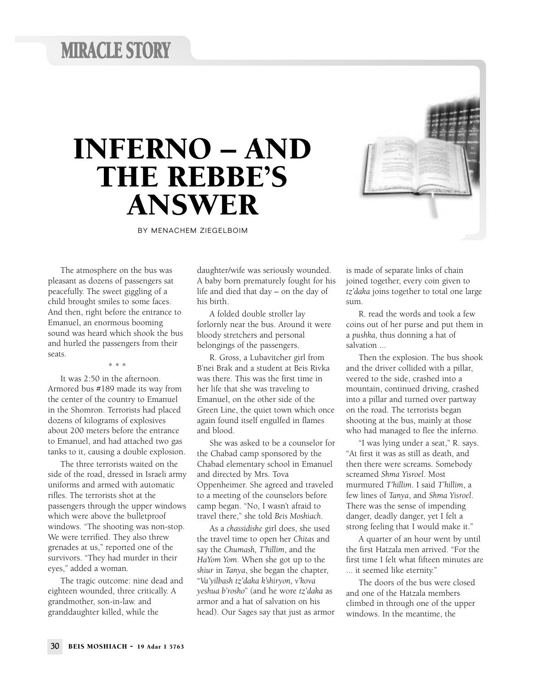# INFERNO – AND THE REBBE'S ANSWER



BY MENACHEM ZIEGELBOIM

The atmosphere on the bus was pleasant as dozens of passengers sat peacefully. The sweet giggling of a child brought smiles to some faces. And then, right before the entrance to Emanuel, an enormous booming sound was heard which shook the bus and hurled the passengers from their seats.

It was 2:50 in the afternoon. Armored bus #189 made its way from the center of the country to Emanuel in the Shomron. Terrorists had placed dozens of kilograms of explosives about 200 meters before the entrance to Emanuel, and had attached two gas tanks to it, causing a double explosion.

\* \* \*

The three terrorists waited on the side of the road, dressed in Israeli army uniforms and armed with automatic rifles. The terrorists shot at the passengers through the upper windows which were above the bulletproof windows. "The shooting was non-stop. We were terrified. They also threw grenades at us," reported one of the survivors. "They had murder in their eyes," added a woman.

The tragic outcome: nine dead and eighteen wounded, three critically. A grandmother, son-in-law. and granddaughter killed, while the

daughter/wife was seriously wounded. A baby born prematurely fought for his life and died that day – on the day of his birth.

A folded double stroller lay forlornly near the bus. Around it were bloody stretchers and personal belongings of the passengers.

R. Gross, a Lubavitcher girl from B'nei Brak and a student at Beis Rivka was there. This was the first time in her life that she was traveling to Emanuel, on the other side of the Green Line, the quiet town which once again found itself engulfed in flames and blood.

She was asked to be a counselor for the Chabad camp sponsored by the Chabad elementary school in Emanuel and directed by Mrs. Tova Oppenheimer. She agreed and traveled to a meeting of the counselors before camp began. "No, I wasn't afraid to travel there," she told *Beis Moshiach*.

As a *chassidishe* girl does, she used the travel time to open her *Chitas* and say the *Chumash, T'hillim*, and the *HaYom Yom*. When she got up to the *shiur* in *Tanya*, she began the chapter, "*Va'yilbash tz'daka k'shiryon, v'kova yeshua b'rosho*" (and he wore *tz'daka* as armor and a hat of salvation on his head). Our Sages say that just as armor is made of separate links of chain joined together, every coin given to *tz'daka* joins together to total one large sum.

R. read the words and took a few coins out of her purse and put them in a *pushka,* thus donning a hat of salvation ...

Then the explosion. The bus shook and the driver collided with a pillar, veered to the side, crashed into a mountain, continued driving, crashed into a pillar and turned over partway on the road. The terrorists began shooting at the bus, mainly at those who had managed to flee the inferno.

"I was lying under a seat," R. says. "At first it was as still as death, and then there were screams. Somebody screamed *Shma Yisroel*. Most murmured *T'hillim*. I said *T'hillim*, a few lines of *Tanya*, and *Shma Yisroel*. There was the sense of impending danger, deadly danger, yet I felt a strong feeling that I would make it."

A quarter of an hour went by until the first Hatzala men arrived. "For the first time I felt what fifteen minutes are ... it seemed like eternity."

The doors of the bus were closed and one of the Hatzala members climbed in through one of the upper windows. In the meantime, the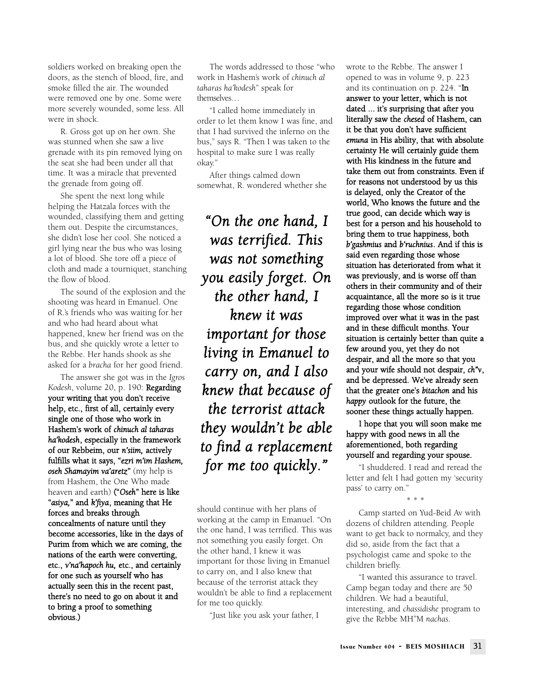soldiers worked on breaking open the doors, as the stench of blood, fire, and smoke filled the air. The wounded were removed one by one. Some were more severely wounded, some less. All were in shock.

R. Gross got up on her own. She was stunned when she saw a live grenade with its pin removed lying on the seat she had been under all that time. It was a miracle that prevented the grenade from going off.

She spent the next long while helping the Hatzala forces with the wounded, classifying them and getting them out. Despite the circumstances, she didn't lose her cool. She noticed a girl lying near the bus who was losing a lot of blood. She tore off a piece of cloth and made a tourniquet, stanching the flow of blood.

The sound of the explosion and the shooting was heard in Emanuel. One of R.'s friends who was waiting for her and who had heard about what happened, knew her friend was on the bus, and she quickly wrote a letter to the Rebbe. Her hands shook as she asked for a *bracha* for her good friend.

The answer she got was in the *Igros Kodesh*, volume 20, p. 190: Regarding your writing that you don't receive help, etc., first of all, certainly every single one of those who work in Hashem's work of *chinuch al taharas ha'kodesh*, especially in the framework of our Rebbeim, our *n'siim,* actively fulfills what it says, "*ezri m'im Hashem, oseh Shamayim va'aretz*" (my help is from Hashem, the One Who made heaven and earth) ("*Oseh*" here is like "*asiya,*" and *k'fiya*, meaning that He forces and breaks through concealments of nature until they become accessories, like in the days of Purim from which we are coming, the nations of the earth were converting, etc., *v'na'hapoch hu,* etc., and certainly for one such as yourself who has actually seen this in the recent past, there's no need to go on about it and to bring a proof to something obvious.)

The words addressed to those "who work in Hashem's work of *chinuch al taharas ha'kodesh*" speak for themselves…

"I called home immediately in order to let them know I was fine, and that I had survived the inferno on the bus," says R. "Then I was taken to the hospital to make sure I was really okay."

After things calmed down somewhat, R. wondered whether she

*"On the one hand, I was terrified. This was not something you easily forget. On the other hand, I knew it was important for those living in Emanuel to carry on, and I also knew that because of the terrorist attack they wouldn't be able to find a replacement for me too quickly."*

should continue with her plans of working at the camp in Emanuel. "On the one hand, I was terrified. This was not something you easily forget. On the other hand, I knew it was important for those living in Emanuel to carry on, and I also knew that because of the terrorist attack they wouldn't be able to find a replacement for me too quickly.

"Just like you ask your father, I

wrote to the Rebbe. The answer I opened to was in volume 9, p. 223 and its continuation on p. 224. "In answer to your letter, which is not dated ... it's surprising that after you literally saw the *chesed* of Hashem, can it be that you don't have sufficient *emuna* in His ability, that with absolute certainty He will certainly guide them with His kindness in the future and take them out from constraints. Even if for reasons not understood by us this is delayed, only the Creator of the world, Who knows the future and the true good, can decide which way is best for a person and his household to bring them to true happiness, both *b'gashmius* and *b'ruchnius*. And if this is said even regarding those whose situation has deteriorated from what it was previously, and is worse off than others in their community and of their acquaintance, all the more so is it true regarding those whose condition improved over what it was in the past and in these difficult months. Your situation is certainly better than quite a few around you, yet they do not despair, and all the more so that you and your wife should not despair, *ch"v*, and be depressed. We've already seen that the greater one's *bitachon* and his *happy* outlook for the future, the sooner these things actually happen.

### I hope that you will soon make me happy with good news in all the aforementioned, both regarding yourself and regarding your spouse.

"I shuddered. I read and reread the letter and felt I had gotten my 'security pass' to carry on."

\* \* \*

Camp started on Yud-Beid Av with dozens of children attending. People want to get back to normalcy, and they did so, aside from the fact that a psychologist came and spoke to the children briefly.

"I wanted this assurance to travel. Camp began today and there are 50 children. We had a beautiful, interesting, and *chassidishe* program to give the Rebbe MH"M *nachas*.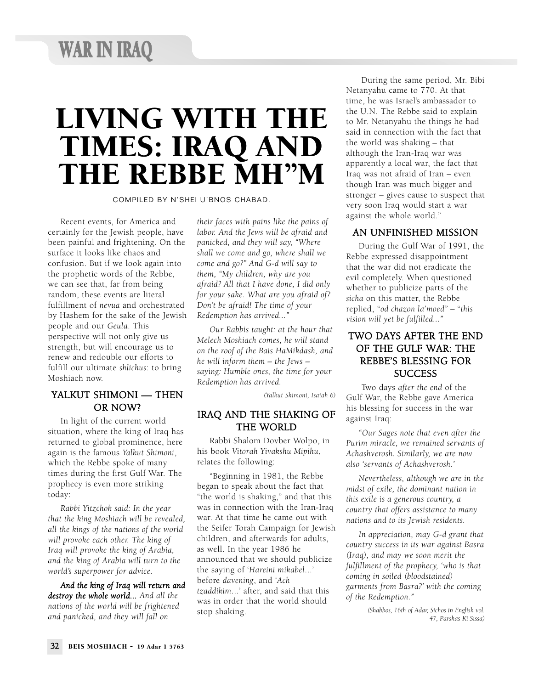# LIVING WITH THE TIMES: IRAQ AND THE REBBE MH"M

COMPILED BY N'SHEI U'BNOS CHABAD.

Recent events, for America and certainly for the Jewish people, have been painful and frightening. On the surface it looks like chaos and confusion. But if we look again into the prophetic words of the Rebbe, we can see that, far from being random, these events are literal fulfillment of *nevua* and orchestrated by Hashem for the sake of the Jewish people and our *Geula*. This perspective will not only give us strength, but will encourage us to renew and redouble our efforts to fulfill our ultimate *shlichus*: to bring Moshiach now.

### YALKUT SHIMONI — THEN OR NOW?

In light of the current world situation, where the king of Iraq has returned to global prominence, here again is the famous *Yalkut Shimoni*, which the Rebbe spoke of many times during the first Gulf War. The prophecy is even more striking today:

*Rabbi Yitzchok said: In the year that the king Moshiach will be revealed, all the kings of the nations of the world will provoke each other. The king of Iraq will provoke the king of Arabia, and the king of Arabia will turn to the world's superpower for advice.*

*And the king of Iraq will return and destroy the whole world... And all the nations of the world will be frightened and panicked, and they will fall on*

*their faces with pains like the pains of labor. And the Jews will be afraid and panicked, and they will say, "Where shall we come and go, where shall we come and go?" And G-d will say to them, "My children, why are you afraid? All that I have done, I did only for your sake. What are you afraid of? Don't be afraid! The time of your Redemption has arrived..."* 

*Our Rabbis taught: at the hour that Melech Moshiach comes, he will stand on the roof of the Bais HaMikdash, and he will inform them – the Jews – saying: Humble ones, the time for your Redemption has arrived.*

*(Yalkut Shimoni, Isaiah 6)* 

### IRAQ AND THE SHAKING OF THE WORLD

Rabbi Shalom Dovber Wolpo, in his book *Vitorah Yivakshu Mipihu*, relates the following:

"Beginning in 1981, the Rebbe began to speak about the fact that "the world is shaking," and that this was in connection with the Iran-Iraq war. At that time he came out with the Seifer Torah Campaign for Jewish children, and afterwards for adults, as well. In the year 1986 he announced that we should publicize the saying of '*Hareini mikabel*...' before *davening*, and '*Ach tzaddikim*...' after, and said that this was in order that the world should stop shaking.

During the same period, Mr. Bibi Netanyahu came to 770. At that time, he was Israel's ambassador to the U.N. The Rebbe said to explain to Mr. Netanyahu the things he had said in connection with the fact that the world was shaking – that although the Iran-Iraq war was apparently a local war, the fact that Iraq was not afraid of Iran – even though Iran was much bigger and stronger – gives cause to suspect that very soon Iraq would start a war against the whole world."

### AN UNFINISHED MISSION

During the Gulf War of 1991, the Rebbe expressed disappointment that the war did not eradicate the evil completely. When questioned whether to publicize parts of the *sicha* on this matter, the Rebbe replied, "*od chazon la'moed" –* "*this vision will yet be fulfilled..."*

## TWO DAYS AFTER THE END OF THE GULF WAR: THE REBBE'S BLESSING FOR **SUCCESS**

Two days *after the end* of the Gulf War, the Rebbe gave America his blessing for success in the war against Iraq:

*"Our Sages note that even after the Purim miracle, we remained servants of Achashverosh. Similarly, we are now also 'servants of Achashverosh.'*

*Nevertheless, although we are in the midst of exile, the dominant nation in this exile is a generous country, a country that offers assistance to many nations and to its Jewish residents.*

*In appreciation, may G-d grant that country success in its war against Basra (Iraq), and may we soon merit the fulfillment of the prophecy, 'who is that coming in soiled (bloodstained) garments from Basra?' with the coming of the Redemption."*

> *(Shabbos, 16th of Adar, Sichos in English vol. 47, Parshas Ki Sissa)*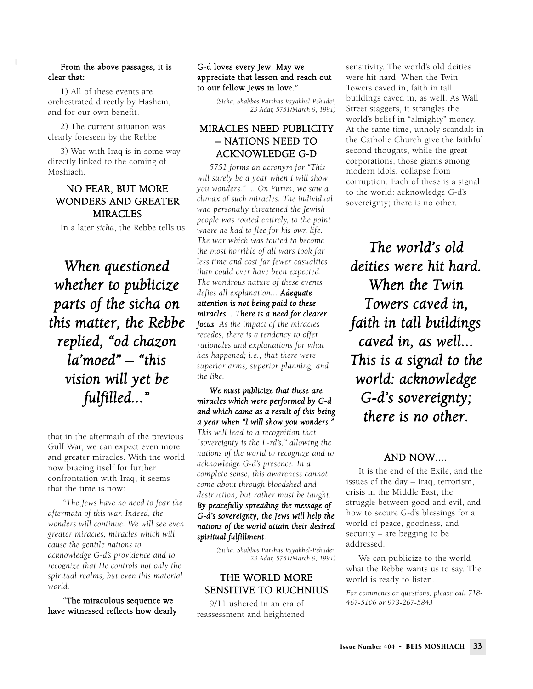#### From the above passages, it is clear that:

1) All of these events are orchestrated directly by Hashem, and for our own benefit.

2) The current situation was clearly foreseen by the Rebbe

3) War with Iraq is in some way directly linked to the coming of Moshiach.

### NO FEAR, BUT MORE WONDERS AND GREATER MIRACLES

In a later *sicha*, the Rebbe tells us

*When questioned whether to publicize parts of the sicha on this matter, the Rebbe replied, "od chazon la'moed" – "this vision will yet be fulfilled..."*

that in the aftermath of the previous Gulf War, we can expect even more and greater miracles. With the world now bracing itself for further confrontation with Iraq, it seems that the time is now:

*"The Jews have no need to fear the aftermath of this war. Indeed, the wonders will continue. We will see even greater miracles, miracles which will cause the gentile nations to acknowledge G-d's providence and to recognize that He controls not only the spiritual realms, but even this material world.*

#### "The miraculous sequence we have witnessed reflects how dearly

#### G-d loves every Jew. May we appreciate that lesson and reach out to our fellow Jews in love."

*(Sicha, Shabbos Parshas Vayakhel-Pekudei, 23 Adar, 5751/March 9, 1991)*

### MIRACLES NEED PUBLICITY – NATIONS NEED TO ACKNOWLEDGE G-D

*5751 forms an acronym for "This will surely be a year when I will show you wonders." ... On Purim, we saw a climax of such miracles. The individual who personally threatened the Jewish people was routed entirely, to the point where he had to flee for his own life. The war which was touted to become the most horrible of all wars took far less time and cost far fewer casualties than could ever have been expected. The wondrous nature of these events defies all explanation... Adequate attention is not being paid to these miracles... There is a need for clearer focus. As the impact of the miracles recedes, there is a tendency to offer rationales and explanations for what has happened; i.e., that there were superior arms, superior planning, and the like.* 

#### *We must publicize that these are miracles which were performed by G-d and which came as a result of this being a year when "I will show you wonders."*

*This will lead to a recognition that "sovereignty is the L-rd's," allowing the nations of the world to recognize and to acknowledge G-d's presence. In a complete sense, this awareness cannot come about through bloodshed and destruction, but rather must be taught. By peacefully spreading the message of G-d's sovereignty, the Jews will help the nations of the world attain their desired spiritual fulfillment.*

> *(Sicha, Shabbos Parshas Vayakhel-Pekudei, 23 Adar, 5751/March 9, 1991)*

### THE WORLD MORE SENSITIVE TO RUCHNIUS

9/11 ushered in an era of reassessment and heightened sensitivity. The world's old deities were hit hard. When the Twin Towers caved in, faith in tall buildings caved in, as well. As Wall Street staggers, it strangles the world's belief in "almighty" money. At the same time, unholy scandals in the Catholic Church give the faithful second thoughts, while the great corporations, those giants among modern idols, collapse from corruption. Each of these is a signal to the world: acknowledge G-d's sovereignty; there is no other.

*The world's old deities were hit hard. When the Twin Towers caved in, faith in tall buildings caved in, as well... This is a signal to the world: acknowledge G-d's sovereignty; there is no other.*

### AND NOW....

It is the end of the Exile, and the issues of the day – Iraq, terrorism, crisis in the Middle East, the struggle between good and evil, and how to secure G-d's blessings for a world of peace, goodness, and security – are begging to be addressed.

We can publicize to the world what the Rebbe wants us to say. The world is ready to listen.

*For comments or questions, please call 718- 467-5106 or 973-267-5843*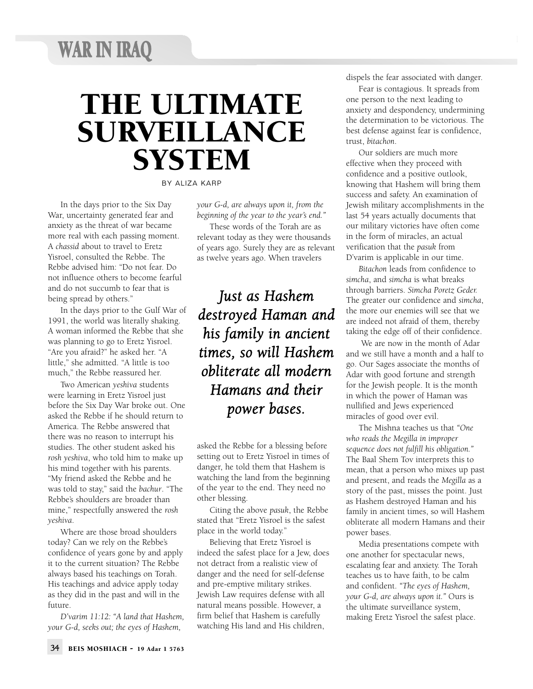# THE ULTIMATE SURVEILLANCE **SYSTEM**

BY ALIZA KARP

In the days prior to the Six Day War, uncertainty generated fear and anxiety as the threat of war became more real with each passing moment. A *chassid* about to travel to Eretz Yisroel, consulted the Rebbe. The Rebbe advised him: "Do not fear. Do not influence others to become fearful and do not succumb to fear that is being spread by others."

In the days prior to the Gulf War of 1991, the world was literally shaking. A woman informed the Rebbe that she was planning to go to Eretz Yisroel. "Are you afraid?" he asked her. "A little," she admitted. "A little is too much," the Rebbe reassured her.

Two American *yeshiva* students were learning in Eretz Yisroel just before the Six Day War broke out. One asked the Rebbe if he should return to America. The Rebbe answered that there was no reason to interrupt his studies. The other student asked his *rosh yeshiva*, who told him to make up his mind together with his parents. "My friend asked the Rebbe and he was told to stay," said the *bachur*. "The Rebbe's shoulders are broader than mine," respectfully answered the *rosh yeshiva*.

Where are those broad shoulders today? Can we rely on the Rebbe's confidence of years gone by and apply it to the current situation? The Rebbe always based his teachings on Torah. His teachings and advice apply today as they did in the past and will in the future.

*D'varim 11:12: "A land that Hashem, your G-d, seeks out; the eyes of Hashem,*

*your G-d, are always upon it, from the beginning of the year to the year's end."* 

These words of the Torah are as relevant today as they were thousands of years ago. Surely they are as relevant as twelve years ago. When travelers

*Just as Hashem destroyed Haman and his family in ancient times, so will Hashem obliterate all modern Hamans and their power bases.*

asked the Rebbe for a blessing before setting out to Eretz Yisroel in times of danger, he told them that Hashem is watching the land from the beginning of the year to the end. They need no other blessing.

Citing the above *pasuk*, the Rebbe stated that "Eretz Yisroel is the safest place in the world today."

Believing that Eretz Yisroel is indeed the safest place for a Jew, does not detract from a realistic view of danger and the need for self-defense and pre-emptive military strikes. Jewish Law requires defense with all natural means possible. However, a firm belief that Hashem is carefully watching His land and His children,

dispels the fear associated with danger.

Fear is contagious. It spreads from one person to the next leading to anxiety and despondency, undermining the determination to be victorious. The best defense against fear is confidence, trust, *bitachon*.

Our soldiers are much more effective when they proceed with confidence and a positive outlook, knowing that Hashem will bring them success and safety. An examination of Jewish military accomplishments in the last 54 years actually documents that our military victories have often come in the form of miracles, an actual verification that the *pasuk* from D'varim is applicable in our time.

*Bitachon* leads from confidence to *simcha*, and *simcha* is what breaks through barriers. *Simcha Poretz Geder.* The greater our confidence and *simcha*, the more our enemies will see that we are indeed not afraid of them, thereby taking the edge off of their confidence.

We are now in the month of Adar and we still have a month and a half to go. Our Sages associate the months of Adar with good fortune and strength for the Jewish people. It is the month in which the power of Haman was nullified and Jews experienced miracles of good over evil.

The Mishna teaches us that *"One who reads the Megilla in improper sequence does not fulfill his obligation."* The Baal Shem Tov interprets this to mean, that a person who mixes up past and present, and reads the *Megilla* as a story of the past, misses the point. Just as Hashem destroyed Haman and his family in ancient times, so will Hashem obliterate all modern Hamans and their power bases.

Media presentations compete with one another for spectacular news, escalating fear and anxiety. The Torah teaches us to have faith, to be calm and confident. *"The eyes of Hashem, your G-d, are always upon it."* Ours is the ultimate surveillance system, making Eretz Yisroel the safest place.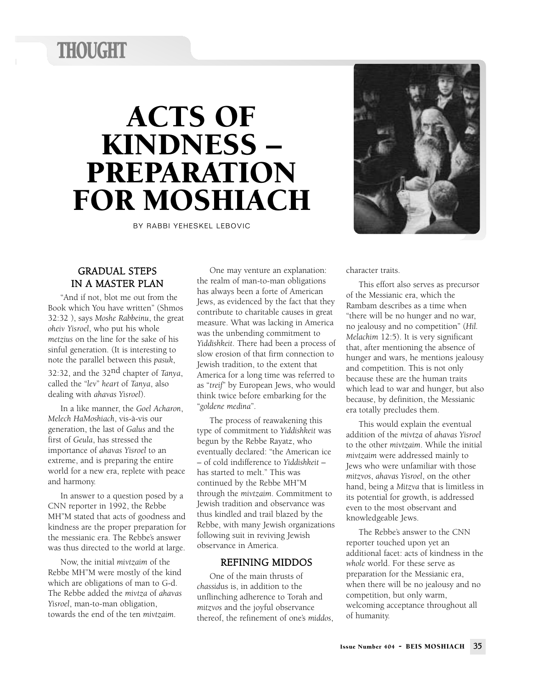# THOUGHT

# ACTS OF KINDNESS – PREPARATION FOR MOSHIACH

BY RABBI YEHESKEL LEBOVIC



character traits.

This effort also serves as precursor of the Messianic era, which the Rambam describes as a time when "there will be no hunger and no war, no jealousy and no competition" (*Hil. Melachim* 12:5). It is very significant that, after mentioning the absence of hunger and wars, he mentions jealousy and competition. This is not only because these are the human traits which lead to war and hunger, but also because, by definition, the Messianic era totally precludes them.

This would explain the eventual addition of the *mivtza* of *ahavas Yisroel* to the other *mivtzaim*. While the initial *mivtzaim* were addressed mainly to Jews who were unfamiliar with those *mitzvos*, *ahavas Yisroel*, on the other hand, being a *Mitzva* that is limitless in its potential for growth, is addressed even to the most observant and knowledgeable Jews.

The Rebbe's answer to the CNN reporter touched upon yet an additional facet: acts of kindness in the *whole* world. For these serve as preparation for the Messianic era, when there will be no jealousy and no competition, but only warm, welcoming acceptance throughout all of humanity.

### GRADUAL STEPS IN A MASTER PLAN

"And if not, blot me out from the Book which You have written" (Shmos 32:32 ), says *Moshe Rabbeinu*, the great *oheiv Yisroel*, who put his whole *metzius* on the line for the sake of his sinful generation. (It is interesting to note the parallel between this *pasuk*, 32:32, and the 32nd chapter of *Tanya*, called the "*lev*" *heart* of *Tanya*, also dealing with *ahavas Yisroel*).

In a like manner, the *Goel Acharon*, *Melech HaMoshiach*, vis-à-vis our generation, the last of *Galus* and the first of *Geula*, has stressed the importance of *ahavas Yisroel* to an extreme, and is preparing the entire world for a new era, replete with peace and harmony.

In answer to a question posed by a CNN reporter in 1992, the Rebbe MH"M stated that acts of goodness and kindness are the proper preparation for the messianic era. The Rebbe's answer was thus directed to the world at large.

Now, the initial *mivtzaim* of the Rebbe MH"M were mostly of the kind which are obligations of man to G-d. The Rebbe added the *mivtza* of *ahavas Yisroel*, man-to-man obligation, towards the end of the ten *mivtzaim*.

One may venture an explanation: the realm of man-to-man obligations has always been a forte of American Jews, as evidenced by the fact that they contribute to charitable causes in great measure. What was lacking in America was the unbending commitment to *Yiddishkeit*. There had been a process of slow erosion of that firm connection to Jewish tradition, to the extent that America for a long time was referred to as "*treif*" by European Jews, who would think twice before embarking for the "*goldene medina*".

The process of reawakening this type of commitment to *Yiddishkeit* was begun by the Rebbe Rayatz, who eventually declared: "the American ice – of cold indifference to *Yiddishkeit* – has started to melt." This was continued by the Rebbe MH"M through the *mivtzaim*. Commitment to Jewish tradition and observance was thus kindled and trail blazed by the Rebbe, with many Jewish organizations following suit in reviving Jewish observance in America.

### REFINING MIDDOS

One of the main thrusts of *chassid*us is, in addition to the unflinching adherence to Torah and *mitzvos* and the joyful observance thereof, the refinement of one's *middos*,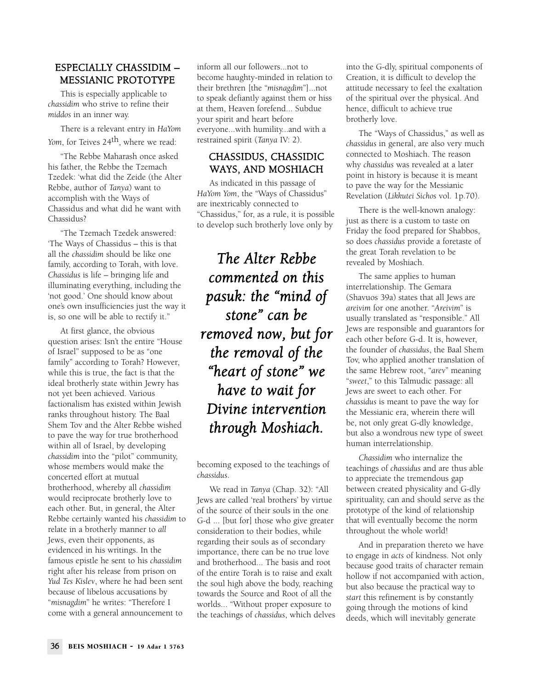### ESPECIALLY CHASSIDIM – MESSIANIC PROTOTYPE

This is especially applicable to *chassidim* who strive to refine their *middos* in an inner way.

There is a relevant entry in *HaYom Yom*, for Teives 24<sup>th</sup>, where we read:

"The Rebbe Maharash once asked his father, the Rebbe the Tzemach Tzedek: 'what did the Zeide (the Alter Rebbe, author of *Tanya*) want to accomplish with the Ways of Chassidus and what did he want with Chassidus?

"The Tzemach Tzedek answered: 'The Ways of Chassidus – this is that all the *chassidim* should be like one family, according to Torah, with love. *Chassidus* is life – bringing life and illuminating everything, including the 'not good.' One should know about one's own insufficiencies just the way it is, so one will be able to rectify it."

At first glance, the obvious question arises: Isn't the entire "House of Israel" supposed to be as "one family" according to Torah? However, while this is true, the fact is that the ideal brotherly state within Jewry has not yet been achieved. Various factionalism has existed within Jewish ranks throughout history. The Baal Shem Tov and the Alter Rebbe wished to pave the way for true brotherhood within all of Israel, by developing *chassidim* into the "pilot" community, whose members would make the concerted effort at mutual brotherhood, whereby all *chassidim* would reciprocate brotherly love to each other. But, in general, the Alter Rebbe certainly wanted his *chassidim* to relate in a brotherly manner to *all* Jews, even their opponents, as evidenced in his writings. In the famous epistle he sent to his *chassidim* right after his release from prison on *Yud Tes Kislev*, where he had been sent because of libelous accusations by "*misnagdim*" he writes: "Therefore I come with a general announcement to

inform all our followers...not to become haughty-minded in relation to their brethren [the "*misnagdim*"]...not to speak defiantly against them or hiss at them, Heaven forefend... Subdue your spirit and heart before everyone...with humility...and with a restrained spirit (*Tanya* IV: 2).

## CHASSIDUS, CHASSIDIC WAYS, AND MOSHIACH

As indicated in this passage of *HaYom Yom*, the "Ways of Chassidus" are inextricably connected to "Chassidus," for, as a rule, it is possible to develop such brotherly love only by

*The Alter Rebbe commented on this pasuk: the "mind of stone" can be removed now, but for the removal of the "heart of stone" we have to wait for Divine intervention through Moshiach.*

becoming exposed to the teachings of *chassidus*.

We read in *Tanya* (Chap. 32): "All Jews are called 'real brothers' by virtue of the source of their souls in the one G-d ... [but for] those who give greater consideration to their bodies, while regarding their souls as of secondary importance, there can be no true love and brotherhood... The basis and root of the entire Torah is to raise and exalt the soul high above the body, reaching towards the Source and Root of all the worlds... "Without proper exposure to the teachings of *chassidus*, which delves into the G-dly, spiritual components of Creation, it is difficult to develop the attitude necessary to feel the exaltation of the spiritual over the physical. And hence, difficult to achieve true brotherly love.

The "Ways of Chassidus," as well as *chassidus* in general, are also very much connected to Moshiach. The reason why *chassidus* was revealed at a later point in history is because it is meant to pave the way for the Messianic Revelation (*Likkutei Sichos* vol. 1p.70).

There is the well-known analogy: just as there is a custom to taste on Friday the food prepared for Shabbos, so does *chassidus* provide a foretaste of the great Torah revelation to be revealed by Moshiach.

The same applies to human interrelationship. The Gemara (Shavuos 39a) states that all Jews are *areivim* for one another. "*Areivim*" is usually translated as "responsible." All Jews are responsible and guarantors for each other before G-d. It is, however, the founder of *chassidus*, the Baal Shem Tov, who applied another translation of the same Hebrew root, "*arev*" meaning "*sweet*," to this Talmudic passage: all Jews are sweet to each other. For *chassidus* is meant to pave the way for the Messianic era, wherein there will be, not only great G-dly knowledge, but also a wondrous new type of sweet human interrelationship.

*Chassidim* who internalize the teachings of *chassidus* and are thus able to appreciate the tremendous gap between created physicality and G-dly spirituality, can and should serve as the prototype of the kind of relationship that will eventually become the norm throughout the whole world!

And in preparation thereto we have to engage in *acts* of kindness. Not only because good traits of character remain hollow if not accompanied with action, but also because the practical way to *start* this refinement is by constantly going through the motions of kind deeds, which will inevitably generate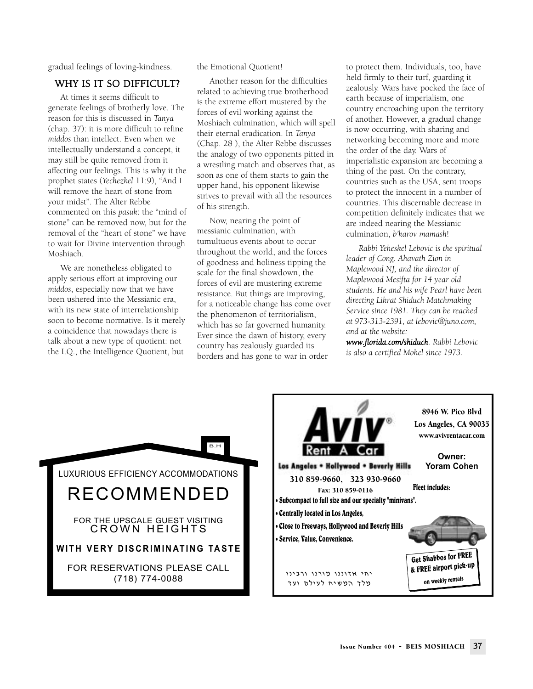gradual feelings of loving-kindness.

### WHY IS IT SO DIFFICULT?

At times it seems difficult to generate feelings of brotherly love. The reason for this is discussed in *Tanya* (chap. 37): it is more difficult to refine *middos* than intellect. Even when we intellectually understand a concept, it may still be quite removed from it affecting our feelings. This is why it the prophet states (*Yechezkel* 11:9), "And I will remove the heart of stone from your midst". The Alter Rebbe commented on this *pasuk*: the "mind of stone" can be removed now, but for the removal of the "heart of stone" we have to wait for Divine intervention through Moshiach.

We are nonetheless obligated to apply serious effort at improving our *middos*, especially now that we have been ushered into the Messianic era, with its new state of interrelationship soon to become normative. Is it merely a coincidence that nowadays there is talk about a new type of quotient: not the I.Q., the Intelligence Quotient, but

the Emotional Quotient!

Another reason for the difficulties related to achieving true brotherhood is the extreme effort mustered by the forces of evil working against the Moshiach culmination, which will spell their eternal eradication. In *Tanya* (Chap. 28 ), the Alter Rebbe discusses the analogy of two opponents pitted in a wrestling match and observes that, as soon as one of them starts to gain the upper hand, his opponent likewise strives to prevail with all the resources of his strength.

Now, nearing the point of messianic culmination, with tumultuous events about to occur throughout the world, and the forces of goodness and holiness tipping the scale for the final showdown, the forces of evil are mustering extreme resistance. But things are improving, for a noticeable change has come over the phenomenon of territorialism, which has so far governed humanity. Ever since the dawn of history, every country has zealously guarded its borders and has gone to war in order

to protect them. Individuals, too, have held firmly to their turf, guarding it zealously. Wars have pocked the face of earth because of imperialism, one country encroaching upon the territory of another. However, a gradual change is now occurring, with sharing and networking becoming more and more the order of the day. Wars of imperialistic expansion are becoming a thing of the past. On the contrary, countries such as the USA, sent troops to protect the innocent in a number of countries. This discernable decrease in competition definitely indicates that we are indeed nearing the Messianic culmination, *b'karov mamash*!

*Rabbi Yeheskel Lebovic is the spiritual leader of Cong. Ahavath Zion in Maplewood NJ, and the director of Maplewood Mesifta for 14 year old students. He and his wife Pearl have been directing Likrat Shiduch Matchmaking Service since 1981. They can be reached at 973-313-2391, at lebovic@juno.com, and at the website:*

*www.florida.com/shiduch. Rabbi Lebovic is also a certified Mohel since 1973.*



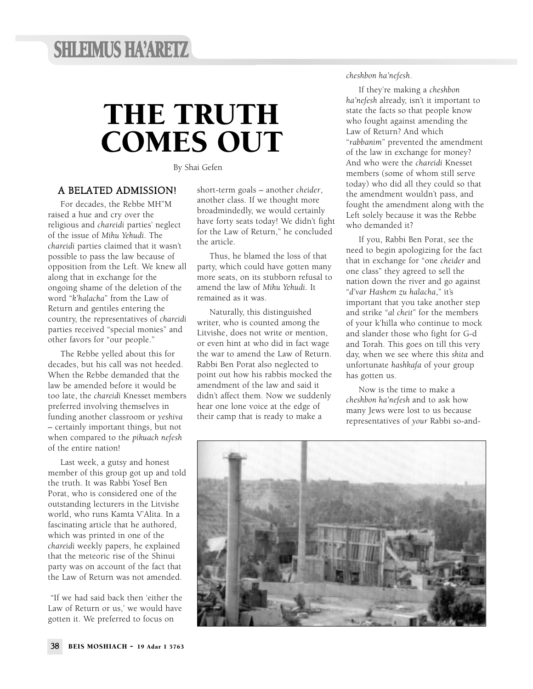# THE TRUTH COMES OUT

By Shai Gefen

### A BELATED ADMISSION!

For decades, the Rebbe MH"M raised a hue and cry over the religious and *chareidi* parties' neglect of the issue of *Mihu Yehudi*. The *chareidi* parties claimed that it wasn't possible to pass the law because of opposition from the Left. We knew all along that in exchange for the ongoing shame of the deletion of the word "*k'halacha*" from the Law of Return and gentiles entering the country, the representatives of *chareidi* parties received "special monies" and other favors for "our people."

The Rebbe yelled about this for decades, but his call was not heeded. When the Rebbe demanded that the law be amended before it would be too late, the *chareidi* Knesset members preferred involving themselves in funding another classroom or *yeshiva* – certainly important things, but not when compared to the *pikuach nefesh* of the entire nation!

Last week, a gutsy and honest member of this group got up and told the truth. It was Rabbi Yosef Ben Porat, who is considered one of the outstanding lecturers in the Litvishe world, who runs Kamta V'Alita. In a fascinating article that he authored, which was printed in one of the *chareidi* weekly papers, he explained that the meteoric rise of the Shinui party was on account of the fact that the Law of Return was not amended.

"If we had said back then 'either the Law of Return or us,' we would have gotten it. We preferred to focus on

short-term goals – another *cheider*, another class. If we thought more broadmindedly, we would certainly have forty seats today! We didn't fight for the Law of Return," he concluded the article.

Thus, he blamed the loss of that party, which could have gotten many more seats, on its stubborn refusal to amend the law of *Mihu Yehudi*. It remained as it was.

Naturally, this distinguished writer, who is counted among the Litvishe, does not write or mention, or even hint at who did in fact wage the war to amend the Law of Return. Rabbi Ben Porat also neglected to point out how his rabbis mocked the amendment of the law and said it didn't affect them. Now we suddenly hear one lone voice at the edge of their camp that is ready to make a

#### *cheshbon ha'nefesh*.

If they're making a *cheshbon ha'nefesh* already, isn't it important to state the facts so that people know who fought against amending the Law of Return? And which "*rabbanim*" prevented the amendment of the law in exchange for money? And who were the *chareidi* Knesset members (some of whom still serve today) who did all they could so that the amendment wouldn't pass, and fought the amendment along with the Left solely because it was the Rebbe who demanded it?

If you, Rabbi Ben Porat, see the need to begin apologizing for the fact that in exchange for "one *cheider* and one class" they agreed to sell the nation down the river and go against "*d'var Hashem zu halacha*," it's important that you take another step and strike "*al cheit*" for the members of your k'hilla who continue to mock and slander those who fight for G-d and Torah. This goes on till this very day, when we see where this *shita* and unfortunate *hashkafa* of your group has gotten us.

Now is the time to make a *cheshbon ha'nefesh* and to ask how many Jews were lost to us because representatives of *your* Rabbi so-and-

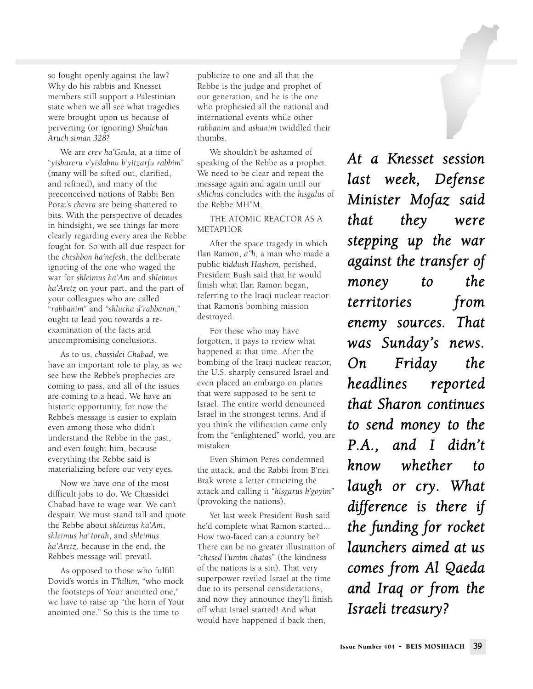so fought openly against the law? Why do his rabbis and Knesset members still support a Palestinian state when we all see what tragedies were brought upon us because of perverting (or ignoring) *Shulchan Aruch siman 328*?

We are *erev ha'Geula*, at a time of "*yisbareru v'yislabnu b'yitzarfu rabbim*" (many will be sifted out, clarified, and refined), and many of the preconceived notions of Rabbi Ben Porat's *chevra* are being shattered to bits. With the perspective of decades in hindsight, we see things far more clearly regarding every area the Rebbe fought for. So with all due respect for the *cheshbon ha'nefesh*, the deliberate ignoring of the one who waged the war for *shleimus ha'Am* and *shleimus ha'Aretz* on your part, and the part of your colleagues who are called "*rabbanim*" and "*shlucha d'rabbanon*," ought to lead you towards a reexamination of the facts and uncompromising conclusions.

As to us, *chassidei Chabad*, we have an important role to play, as we see how the Rebbe's prophecies are coming to pass, and all of the issues are coming to a head. We have an historic opportunity, for now the Rebbe's message is easier to explain even among those who didn't understand the Rebbe in the past, and even fought him, because everything the Rebbe said is materializing before our very eyes.

Now we have one of the most difficult jobs to do. We Chassidei Chabad have to wage war. We can't despair. We must stand tall and quote the Rebbe about *shleimus ha'Am*, *shleimus ha'Torah*, and *shleimus ha'Aretz*, because in the end, the Rebbe's message will prevail.

As opposed to those who fulfill Dovid's words in *T'hillim*, "who mock the footsteps of Your anointed one," we have to raise up "the horn of Your anointed one." So this is the time to

publicize to one and all that the Rebbe is the judge and prophet of our generation, and he is the one who prophesied all the national and international events while other *rabbanim* and *askanim* twiddled their thumbs.

We shouldn't be ashamed of speaking of the Rebbe as a prophet. We need to be clear and repeat the message again and again until our *shlichus* concludes with the *hisgalus* of the Rebbe MH"M.

#### THE ATOMIC REACTOR AS A METAPHOR

After the space tragedy in which Ilan Ramon, *a"h*, a man who made a public *kiddush Hashem,* perished, President Bush said that he would finish what Ilan Ramon began, referring to the Iraqi nuclear reactor that Ramon's bombing mission destroyed.

For those who may have forgotten, it pays to review what happened at that time. After the bombing of the Iraqi nuclear reactor, the U.S. sharply censured Israel and even placed an embargo on planes that were supposed to be sent to Israel. The entire world denounced Israel in the strongest terms. And if you think the vilification came only from the "enlightened" world, you are mistaken.

Even Shimon Peres condemned the attack, and the Rabbi from B'nei Brak wrote a letter criticizing the attack and calling it "*hisgarus b'goyim*" (provoking the nations).

Yet last week President Bush said he'd complete what Ramon started... How two-faced can a country be? There can be no greater illustration of "*chesed l'umim chatas*" (the kindness of the nations is a sin). That very superpower reviled Israel at the time due to its personal considerations, and now they announce they'll finish off what Israel started! And what would have happened if back then,

*At a Knesset session last week, Defense Minister Mofaz said that they were stepping up the war against the transfer of money to the territories from enemy sources. That was Sunday's news. On Friday the headlines reported that Sharon continues to send money to the P.A., and I didn't know whether to laugh or cry. What difference is there if the funding for rocket launchers aimed at us comes from Al Qaeda and Iraq or from the Israeli treasury?*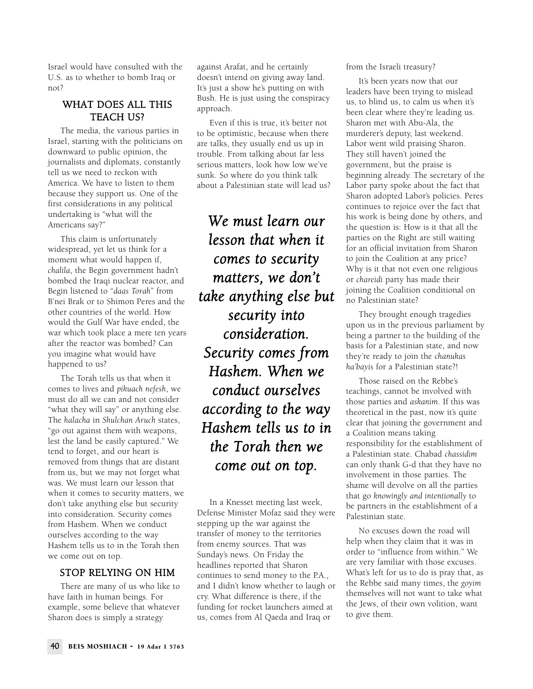Israel would have consulted with the U.S. as to whether to bomb Iraq or not?

## WHAT DOES ALL THIS TEACH US?

The media, the various parties in Israel, starting with the politicians on downward to public opinion, the journalists and diplomats, constantly tell us we need to reckon with America. We have to listen to them because they support us. One of the first considerations in any political undertaking is "what will the Americans say?"

This claim is unfortunately widespread, yet let us think for a moment what would happen if, *chalila*, the Begin government hadn't bombed the Iraqi nuclear reactor, and Begin listened to "*daas Torah*" from B'nei Brak or to Shimon Peres and the other countries of the world. How would the Gulf War have ended, the war which took place a mere ten years after the reactor was bombed? Can you imagine what would have happened to us?

The Torah tells us that when it comes to lives and *pikuach nefesh*, we must do all we can and not consider "what they will say" or anything else. The *halacha* in *Shulchan Aruch* states, "go out against them with weapons, lest the land be easily captured." We tend to forget, and our heart is removed from things that are distant from us, but we may not forget what was. We must learn our lesson that when it comes to security matters, we don't take anything else but security into consideration. Security comes from Hashem. When we conduct ourselves according to the way Hashem tells us to in the Torah then we come out on top.

### STOP RELYING ON HIM

There are many of us who like to have faith in human beings. For example, some believe that whatever Sharon does is simply a strategy

against Arafat, and he certainly doesn't intend on giving away land. It's just a show he's putting on with Bush. He is just using the conspiracy approach.

Even if this is true, it's better not to be optimistic, because when there are talks, they usually end us up in trouble. From talking about far less serious matters, look how low we've sunk. So where do you think talk about a Palestinian state will lead us?

*We must learn our lesson that when it comes to security matters, we don't take anything else but security into consideration. Security comes from Hashem. When we conduct ourselves according to the way Hashem tells us to in the Torah then we come out on top.*

In a Knesset meeting last week, Defense Minister Mofaz said they were stepping up the war against the transfer of money to the territories from enemy sources. That was Sunday's news. On Friday the headlines reported that Sharon continues to send money to the P.A., and I didn't know whether to laugh or cry. What difference is there, if the funding for rocket launchers aimed at us, comes from Al Qaeda and Iraq or

from the Israeli treasury?

It's been years now that our leaders have been trying to mislead us, to blind us, to calm us when it's been clear where they're leading us. Sharon met with Abu-Ala, the murderer's deputy, last weekend. Labor went wild praising Sharon. They still haven't joined the government, but the praise is beginning already. The secretary of the Labor party spoke about the fact that Sharon adopted Labor's policies. Peres continues to rejoice over the fact that his work is being done by others, and the question is: How is it that all the parties on the Right are still waiting for an official invitation from Sharon to join the Coalition at any price? Why is it that not even one religious or *chareidi* party has made their joining the Coalition conditional on no Palestinian state?

They brought enough tragedies upon us in the previous parliament by being a partner to the building of the basis for a Palestinian state, and now they're ready to join the *chanukas ha'bayis* for a Palestinian state?!

Those raised on the Rebbe's teachings, cannot be involved with those parties and *askanim*. If this was theoretical in the past, now it's quite clear that joining the government and a Coalition means taking responsibility for the establishment of a Palestinian state. Chabad *chassidim* can only thank G-d that they have no involvement in those parties. The shame will devolve on all the parties that go *knowingly and intentionally* to be partners in the establishment of a Palestinian state.

No excuses down the road will help when they claim that it was in order to "influence from within." We are very familiar with those excuses. What's left for us to do is pray that, as the Rebbe said many times, the *goyim* themselves will not want to take what the Jews, of their own volition, want to give them.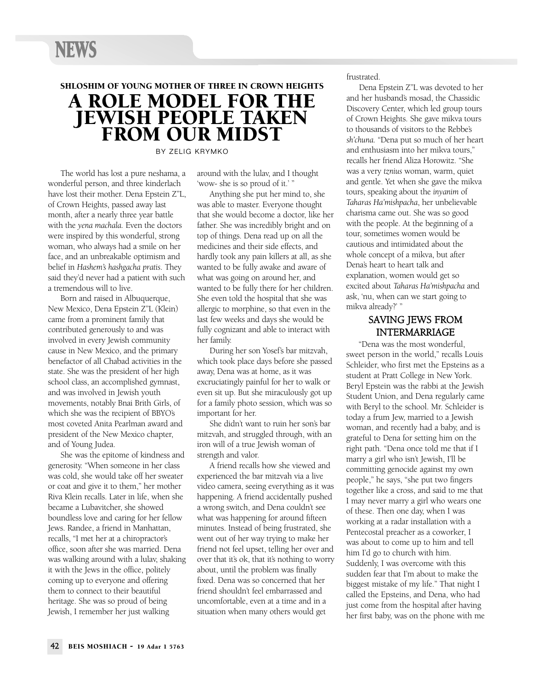# SHLOSHIM OF YOUNG MOTHER OF THREE IN CROWN HEIGHTS A ROLE MODEL FOR THE **JEWISH PEOPLE TAKEN<br>FROM OUR MIDST**

BY ZELIG KRYMKO

The world has lost a pure neshama, a wonderful person, and three kinderlach have lost their mother. Dena Epstein Z"L, of Crown Heights, passed away last month, after a nearly three year battle with the *yena machala.* Even the doctors were inspired by this wonderful, strong woman, who always had a smile on her face, and an unbreakable optimism and belief in *Hashem's hashgacha pratis*. They said they'd never had a patient with such a tremendous will to live.

Born and raised in Albuquerque, New Mexico, Dena Epstein Z"L (Klein) came from a prominent family that contributed generously to and was involved in every Jewish community cause in New Mexico, and the primary benefactor of all Chabad activities in the state. She was the president of her high school class, an accomplished gymnast, and was involved in Jewish youth movements, notably Bnai Brith Girls, of which she was the recipient of BBYO's most coveted Anita Pearlman award and president of the New Mexico chapter, and of Young Judea.

She was the epitome of kindness and generosity. "When someone in her class was cold, she would take off her sweater or coat and give it to them," her mother Riva Klein recalls. Later in life, when she became a Lubavitcher, she showed boundless love and caring for her fellow Jews. Randee, a friend in Manhattan, recalls, "I met her at a chiropractor's office, soon after she was married. Dena was walking around with a lulav, shaking it with the Jews in the office, politely coming up to everyone and offering them to connect to their beautiful heritage. She was so proud of being Jewish, I remember her just walking

around with the lulav, and I thought 'wow- she is so proud of it.' "

Anything she put her mind to, she was able to master. Everyone thought that she would become a doctor, like her father. She was incredibly bright and on top of things. Dena read up on all the medicines and their side effects, and hardly took any pain killers at all, as she wanted to be fully awake and aware of what was going on around her, and wanted to be fully there for her children. She even told the hospital that she was allergic to morphine, so that even in the last few weeks and days she would be fully cognizant and able to interact with her family.

During her son Yosef's bar mitzvah, which took place days before she passed away, Dena was at home, as it was excruciatingly painful for her to walk or even sit up. But she miraculously got up for a family photo session, which was so important for her.

She didn't want to ruin her son's bar mitzvah, and struggled through, with an iron will of a true Jewish woman of strength and valor.

A friend recalls how she viewed and experienced the bar mitzvah via a live video camera, seeing everything as it was happening. A friend accidentally pushed a wrong switch, and Dena couldn't see what was happening for around fifteen minutes. Instead of being frustrated, she went out of her way trying to make her friend not feel upset, telling her over and over that it's ok, that it's nothing to worry about, until the problem was finally fixed. Dena was so concerned that her friend shouldn't feel embarrassed and uncomfortable, even at a time and in a situation when many others would get

frustrated.

Dena Epstein Z"L was devoted to her and her husband's mosad, the Chassidic Discovery Center, which led group tours of Crown Heights. She gave mikva tours to thousands of visitors to the Rebbe's *sh'chuna.* "Dena put so much of her heart and enthusiasm into her mikva tours," recalls her friend Aliza Horowitz. "She was a very *tznius* woman, warm, quiet and gentle. Yet when she gave the mikva tours, speaking about the *inyanim* of *Taharas Ha'mishpacha*, her unbelievable charisma came out. She was so good with the people. At the beginning of a tour, sometimes women would be cautious and intimidated about the whole concept of a mikva, but after Dena's heart to heart talk and explanation, women would get so excited about *Taharas Ha'mishpacha* and ask, 'nu, when can we start going to mikva already?' "

### SAVING JEWS FROM INTERMARRIAGE

"Dena was the most wonderful, sweet person in the world," recalls Louis Schleider, who first met the Epsteins as a student at Pratt College in New York. Beryl Epstein was the rabbi at the Jewish Student Union, and Dena regularly came with Beryl to the school. Mr. Schleider is today a frum Jew, married to a Jewish woman, and recently had a baby, and is grateful to Dena for setting him on the right path. "Dena once told me that if I marry a girl who isn't Jewish, I'll be committing genocide against my own people," he says, "she put two fingers together like a cross, and said to me that I may never marry a girl who wears one of these. Then one day, when I was working at a radar installation with a Pentecostal preacher as a coworker, I was about to come up to him and tell him I'd go to church with him. Suddenly, I was overcome with this sudden fear that I'm about to make the biggest mistake of my life." That night I called the Epsteins, and Dena, who had just come from the hospital after having her first baby, was on the phone with me